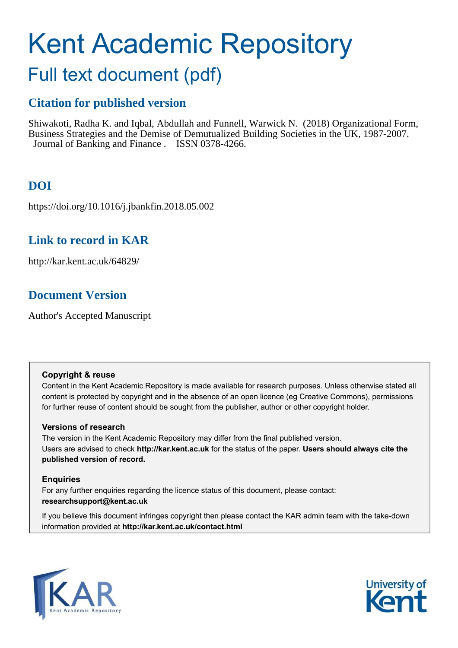# Kent Academic Repository

# Full text document (pdf)

### **Citation for published version**

Shiwakoti, Radha K. and Iqbal, Abdullah and Funnell, Warwick N. (2018) Organizational Form, Business Strategies and the Demise of Demutualized Building Societies in the UK, 1987-2007. Journal of Banking and Finance . ISSN 0378-4266.

## **DOI**

https://doi.org/10.1016/j.jbankfin.2018.05.002

### **Link to record in KAR**

http://kar.kent.ac.uk/64829/

### **Document Version**

Author's Accepted Manuscript

#### **Copyright & reuse**

Content in the Kent Academic Repository is made available for research purposes. Unless otherwise stated all content is protected by copyright and in the absence of an open licence (eg Creative Commons), permissions for further reuse of content should be sought from the publisher, author or other copyright holder.

#### **Versions of research**

The version in the Kent Academic Repository may differ from the final published version. Users are advised to check **http://kar.kent.ac.uk** for the status of the paper. **Users should always cite the published version of record.**

#### **Enquiries**

For any further enquiries regarding the licence status of this document, please contact: **researchsupport@kent.ac.uk**

If you believe this document infringes copyright then please contact the KAR admin team with the take-down information provided at **http://kar.kent.ac.uk/contact.html**



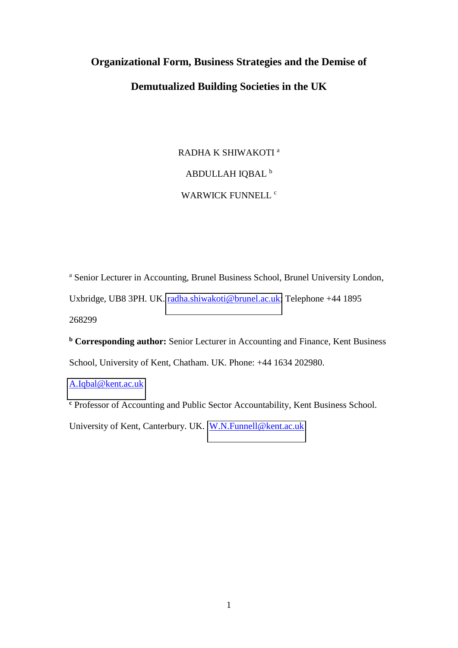# **Organizational Form, Business Strategies and the Demise of Demutualized Building Societies in the UK**

RADHA K SHIWAKOTI<sup>a</sup> ABDULLAH IQBAL <sup>b</sup> WARWICK FUNNELL <sup>c</sup>

<sup>a</sup> Senior Lecturer in Accounting, Brunel Business School, Brunel University London, Uxbridge, UB8 3PH. UK. [radha.shiwakoti@brunel.ac.uk;](mailto:radha.shiwakoti@brunel.ac.uk) Telephone +44 1895 268299

**<sup>b</sup> Corresponding author:** Senior Lecturer in Accounting and Finance, Kent Business School, University of Kent, Chatham. UK. Phone: +44 1634 202980.

[A.Iqbal@kent.ac.uk](mailto:A.Iqbal@kent.ac.uk)

**c** Professor of Accounting and Public Sector Accountability, Kent Business School.

University of Kent, Canterbury. UK. [W.N.Funnell@kent.ac.uk](mailto:W.N.Funnell@kent.ac.uk)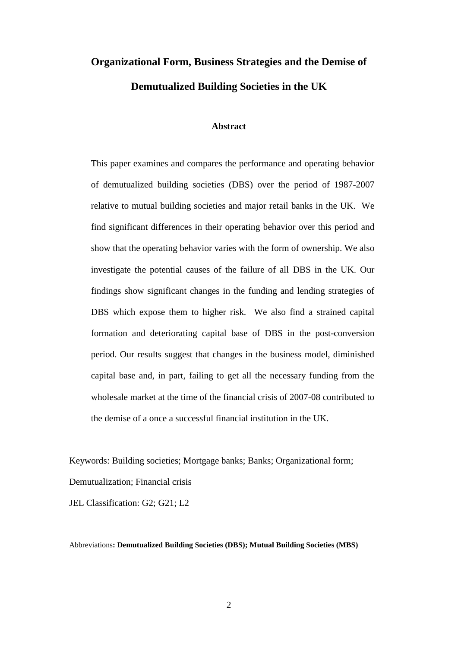# **Organizational Form, Business Strategies and the Demise of Demutualized Building Societies in the UK**

#### **Abstract**

This paper examines and compares the performance and operating behavior of demutualized building societies (DBS) over the period of 1987-2007 relative to mutual building societies and major retail banks in the UK. We find significant differences in their operating behavior over this period and show that the operating behavior varies with the form of ownership. We also investigate the potential causes of the failure of all DBS in the UK. Our findings show significant changes in the funding and lending strategies of DBS which expose them to higher risk. We also find a strained capital formation and deteriorating capital base of DBS in the post-conversion period. Our results suggest that changes in the business model, diminished capital base and, in part, failing to get all the necessary funding from the wholesale market at the time of the financial crisis of 2007-08 contributed to the demise of a once a successful financial institution in the UK.

Keywords: Building societies; Mortgage banks; Banks; Organizational form; Demutualization; Financial crisis

JEL Classification: G2; G21; L2

Abbreviations**: Demutualized Building Societies (DBS); Mutual Building Societies (MBS)**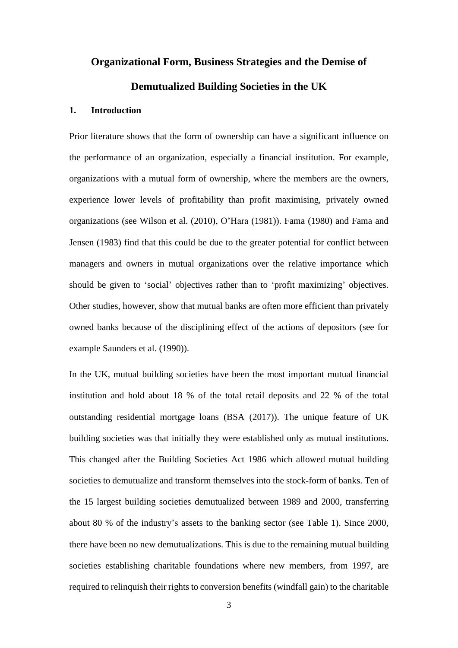# **Organizational Form, Business Strategies and the Demise of Demutualized Building Societies in the UK**

#### **1. Introduction**

Prior literature shows that the form of ownership can have a significant influence on the performance of an organization, especially a financial institution. For example, organizations with a mutual form of ownership, where the members are the owners, experience lower levels of profitability than profit maximising, privately owned organizations (see Wilson et al. (2010), O'Hara (1981)). Fama (1980) and Fama and Jensen (1983) find that this could be due to the greater potential for conflict between managers and owners in mutual organizations over the relative importance which should be given to 'social' objectives rather than to 'profit maximizing' objectives. Other studies, however, show that mutual banks are often more efficient than privately owned banks because of the disciplining effect of the actions of depositors (see for example Saunders et al. (1990)).

In the UK, mutual building societies have been the most important mutual financial institution and hold about 18 % of the total retail deposits and 22 % of the total outstanding residential mortgage loans (BSA (2017)). The unique feature of UK building societies was that initially they were established only as mutual institutions. This changed after the Building Societies Act 1986 which allowed mutual building societies to demutualize and transform themselves into the stock-form of banks. Ten of the 15 largest building societies demutualized between 1989 and 2000, transferring about 80 % of the industry's assets to the banking sector (see Table 1). Since 2000, there have been no new demutualizations. This is due to the remaining mutual building societies establishing charitable foundations where new members, from 1997, are required to relinquish their rights to conversion benefits (windfall gain) to the charitable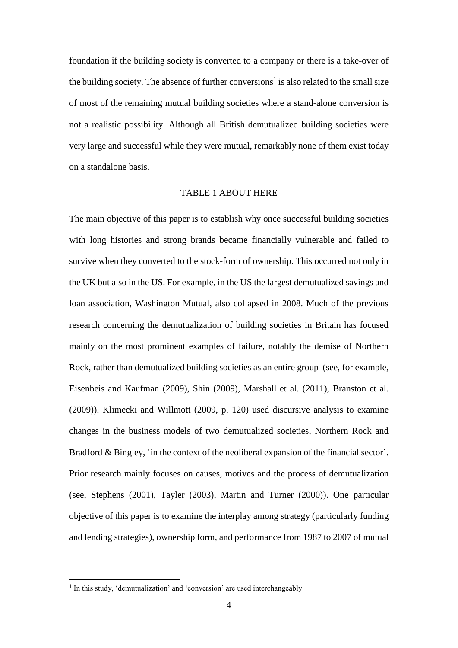foundation if the building society is converted to a company or there is a take-over of the building society. The absence of further conversions<sup>1</sup> is also related to the small size of most of the remaining mutual building societies where a stand-alone conversion is not a realistic possibility. Although all British demutualized building societies were very large and successful while they were mutual, remarkably none of them exist today on a standalone basis.

#### TABLE 1 ABOUT HERE

The main objective of this paper is to establish why once successful building societies with long histories and strong brands became financially vulnerable and failed to survive when they converted to the stock-form of ownership. This occurred not only in the UK but also in the US. For example, in the US the largest demutualized savings and loan association, Washington Mutual, also collapsed in 2008. Much of the previous research concerning the demutualization of building societies in Britain has focused mainly on the most prominent examples of failure, notably the demise of Northern Rock, rather than demutualized building societies as an entire group (see, for example, Eisenbeis and Kaufman (2009), Shin (2009), Marshall et al. (2011), Branston et al. (2009)). Klimecki and Willmott (2009, p. 120) used discursive analysis to examine changes in the business models of two demutualized societies, Northern Rock and Bradford & Bingley, 'in the context of the neoliberal expansion of the financial sector'. Prior research mainly focuses on causes, motives and the process of demutualization (see, Stephens (2001), Tayler (2003), Martin and Turner (2000)). One particular objective of this paper is to examine the interplay among strategy (particularly funding and lending strategies), ownership form, and performance from 1987 to 2007 of mutual

<sup>&</sup>lt;sup>1</sup> In this study, 'demutualization' and 'conversion' are used interchangeably.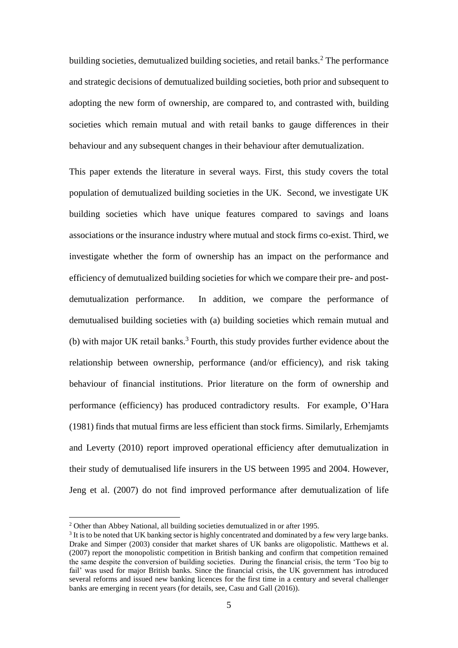building societies, demutualized building societies, and retail banks.<sup>2</sup> The performance and strategic decisions of demutualized building societies, both prior and subsequent to adopting the new form of ownership, are compared to, and contrasted with, building societies which remain mutual and with retail banks to gauge differences in their behaviour and any subsequent changes in their behaviour after demutualization.

This paper extends the literature in several ways. First, this study covers the total population of demutualized building societies in the UK. Second, we investigate UK building societies which have unique features compared to savings and loans associations or the insurance industry where mutual and stock firms co-exist. Third, we investigate whether the form of ownership has an impact on the performance and efficiency of demutualized building societies for which we compare their pre- and postdemutualization performance. In addition, we compare the performance of demutualised building societies with (a) building societies which remain mutual and  $(b)$  with major UK retail banks.<sup>3</sup> Fourth, this study provides further evidence about the relationship between ownership, performance (and/or efficiency), and risk taking behaviour of financial institutions. Prior literature on the form of ownership and performance (efficiency) has produced contradictory results. For example, O'Hara (1981) finds that mutual firms are less efficient than stock firms. Similarly, Erhemjamts and Leverty (2010) report improved operational efficiency after demutualization in their study of demutualised life insurers in the US between 1995 and 2004. However, Jeng et al. (2007) do not find improved performance after demutualization of life

<sup>&</sup>lt;sup>2</sup> Other than Abbey National, all building societies demutualized in or after 1995.

<sup>&</sup>lt;sup>3</sup> It is to be noted that UK banking sector is highly concentrated and dominated by a few very large banks. Drake and Simper (2003) consider that market shares of UK banks are oligopolistic. Matthews et al. (2007) report the monopolistic competition in British banking and confirm that competition remained the same despite the conversion of building societies. During the financial crisis, the term 'Too big to fail' was used for major British banks. Since the financial crisis, the UK government has introduced several reforms and issued new banking licences for the first time in a century and several challenger banks are emerging in recent years (for details, see, Casu and Gall (2016)).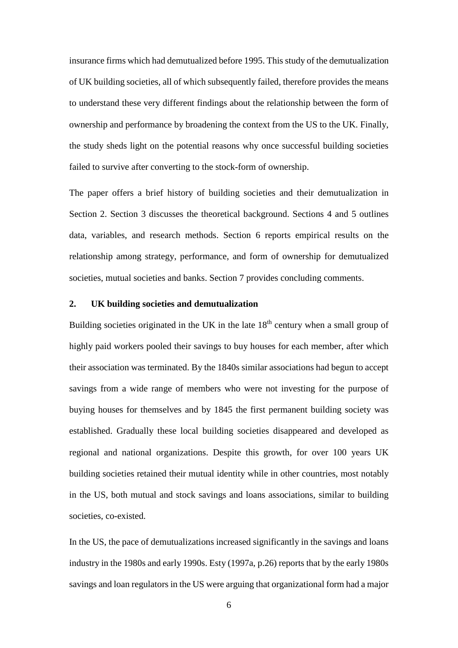insurance firms which had demutualized before 1995. This study of the demutualization of UK building societies, all of which subsequently failed, therefore provides the means to understand these very different findings about the relationship between the form of ownership and performance by broadening the context from the US to the UK. Finally, the study sheds light on the potential reasons why once successful building societies failed to survive after converting to the stock-form of ownership.

The paper offers a brief history of building societies and their demutualization in Section 2. Section 3 discusses the theoretical background. Sections 4 and 5 outlines data, variables, and research methods. Section 6 reports empirical results on the relationship among strategy, performance, and form of ownership for demutualized societies, mutual societies and banks. Section 7 provides concluding comments.

#### **2. UK building societies and demutualization**

Building societies originated in the UK in the late  $18<sup>th</sup>$  century when a small group of highly paid workers pooled their savings to buy houses for each member, after which their association was terminated. By the 1840s similar associations had begun to accept savings from a wide range of members who were not investing for the purpose of buying houses for themselves and by 1845 the first permanent building society was established. Gradually these local building societies disappeared and developed as regional and national organizations. Despite this growth, for over 100 years UK building societies retained their mutual identity while in other countries, most notably in the US, both mutual and stock savings and loans associations, similar to building societies, co-existed.

In the US, the pace of demutualizations increased significantly in the savings and loans industry in the 1980s and early 1990s. Esty (1997a, p.26) reports that by the early 1980s savings and loan regulators in the US were arguing that organizational form had a major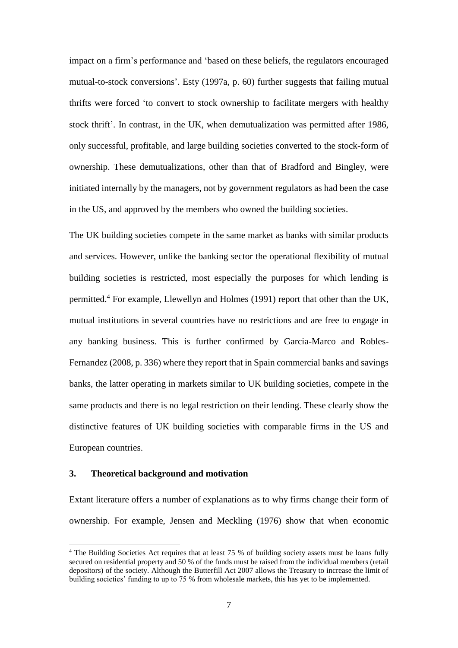impact on a firm's performance and 'based on these beliefs, the regulators encouraged mutual-to-stock conversions'. Esty (1997a, p. 60) further suggests that failing mutual thrifts were forced 'to convert to stock ownership to facilitate mergers with healthy stock thrift'. In contrast, in the UK, when demutualization was permitted after 1986, only successful, profitable, and large building societies converted to the stock-form of ownership. These demutualizations, other than that of Bradford and Bingley, were initiated internally by the managers, not by government regulators as had been the case in the US, and approved by the members who owned the building societies.

The UK building societies compete in the same market as banks with similar products and services. However, unlike the banking sector the operational flexibility of mutual building societies is restricted, most especially the purposes for which lending is permitted.<sup>4</sup> For example, Llewellyn and Holmes (1991) report that other than the UK, mutual institutions in several countries have no restrictions and are free to engage in any banking business. This is further confirmed by Garcia-Marco and Robles-Fernandez (2008, p. 336) where they report that in Spain commercial banks and savings banks, the latter operating in markets similar to UK building societies, compete in the same products and there is no legal restriction on their lending. These clearly show the distinctive features of UK building societies with comparable firms in the US and European countries.

#### **3. Theoretical background and motivation**

<u>.</u>

Extant literature offers a number of explanations as to why firms change their form of ownership. For example, Jensen and Meckling (1976) show that when economic

<sup>&</sup>lt;sup>4</sup> The Building Societies Act requires that at least 75 % of building society assets must be loans fully secured on residential property and 50 % of the funds must be raised from the individual members (retail depositors) of the society. Although the Butterfill Act 2007 allows the Treasury to increase the limit of building societies' funding to up to 75 % from wholesale markets, this has yet to be implemented.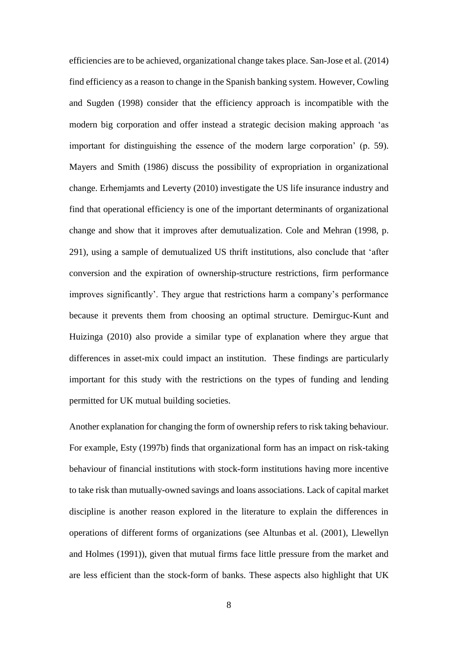efficiencies are to be achieved, organizational change takes place. San-Jose et al. (2014) find efficiency as a reason to change in the Spanish banking system. However, Cowling and Sugden (1998) consider that the efficiency approach is incompatible with the modern big corporation and offer instead a strategic decision making approach 'as important for distinguishing the essence of the modern large corporation' (p. 59). Mayers and Smith (1986) discuss the possibility of expropriation in organizational change. Erhemjamts and Leverty (2010) investigate the US life insurance industry and find that operational efficiency is one of the important determinants of organizational change and show that it improves after demutualization. Cole and Mehran (1998, p. 291), using a sample of demutualized US thrift institutions, also conclude that 'after conversion and the expiration of ownership-structure restrictions, firm performance improves significantly'. They argue that restrictions harm a company's performance because it prevents them from choosing an optimal structure. Demirguc-Kunt and Huizinga (2010) also provide a similar type of explanation where they argue that differences in asset-mix could impact an institution. These findings are particularly important for this study with the restrictions on the types of funding and lending permitted for UK mutual building societies.

Another explanation for changing the form of ownership refers to risk taking behaviour. For example, Esty (1997b) finds that organizational form has an impact on risk-taking behaviour of financial institutions with stock-form institutions having more incentive to take risk than mutually-owned savings and loans associations. Lack of capital market discipline is another reason explored in the literature to explain the differences in operations of different forms of organizations (see Altunbas et al. (2001), Llewellyn and Holmes (1991)), given that mutual firms face little pressure from the market and are less efficient than the stock-form of banks. These aspects also highlight that UK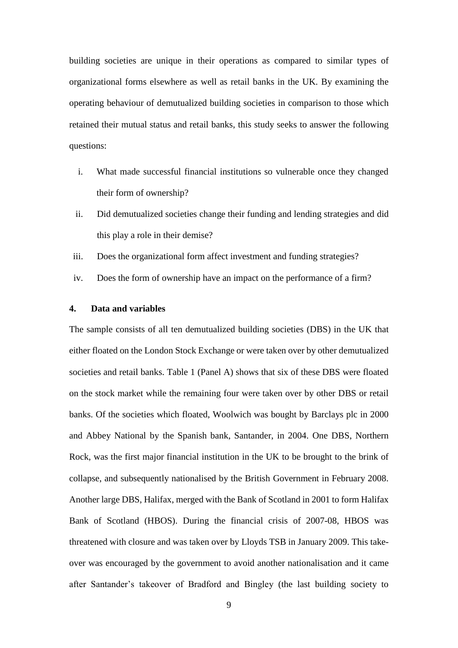building societies are unique in their operations as compared to similar types of organizational forms elsewhere as well as retail banks in the UK. By examining the operating behaviour of demutualized building societies in comparison to those which retained their mutual status and retail banks, this study seeks to answer the following questions:

- i. What made successful financial institutions so vulnerable once they changed their form of ownership?
- ii. Did demutualized societies change their funding and lending strategies and did this play a role in their demise?
- iii. Does the organizational form affect investment and funding strategies?
- iv. Does the form of ownership have an impact on the performance of a firm?

#### **4. Data and variables**

The sample consists of all ten demutualized building societies (DBS) in the UK that either floated on the London Stock Exchange or were taken over by other demutualized societies and retail banks. Table 1 (Panel A) shows that six of these DBS were floated on the stock market while the remaining four were taken over by other DBS or retail banks. Of the societies which floated, Woolwich was bought by Barclays plc in 2000 and Abbey National by the Spanish bank, Santander, in 2004. One DBS, Northern Rock, was the first major financial institution in the UK to be brought to the brink of collapse, and subsequently nationalised by the British Government in February 2008. Another large DBS, Halifax, merged with the Bank of Scotland in 2001 to form Halifax Bank of Scotland (HBOS). During the financial crisis of 2007-08, HBOS was threatened with closure and was taken over by Lloyds TSB in January 2009. This takeover was encouraged by the government to avoid another nationalisation and it came after Santander's takeover of Bradford and Bingley (the last building society to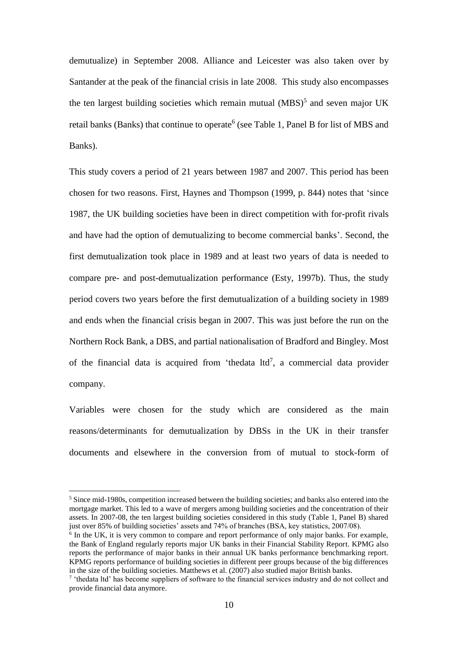demutualize) in September 2008. Alliance and Leicester was also taken over by Santander at the peak of the financial crisis in late 2008. This study also encompasses the ten largest building societies which remain mutual  $(MBS)^5$  and seven major UK retail banks (Banks) that continue to operate<sup>6</sup> (see Table 1, Panel B for list of MBS and Banks).

This study covers a period of 21 years between 1987 and 2007. This period has been chosen for two reasons. First, Haynes and Thompson (1999, p. 844) notes that 'since 1987, the UK building societies have been in direct competition with for-profit rivals and have had the option of demutualizing to become commercial banks'. Second, the first demutualization took place in 1989 and at least two years of data is needed to compare pre- and post-demutualization performance (Esty, 1997b). Thus, the study period covers two years before the first demutualization of a building society in 1989 and ends when the financial crisis began in 2007. This was just before the run on the Northern Rock Bank, a DBS, and partial nationalisation of Bradford and Bingley. Most of the financial data is acquired from 'thedata  $\text{ltd}^7$ , a commercial data provider company.

Variables were chosen for the study which are considered as the main reasons/determinants for demutualization by DBSs in the UK in their transfer documents and elsewhere in the conversion from of mutual to stock-form of

<sup>&</sup>lt;sup>5</sup> Since mid-1980s, competition increased between the building societies; and banks also entered into the mortgage market. This led to a wave of mergers among building societies and the concentration of their assets. In 2007-08, the ten largest building societies considered in this study (Table 1, Panel B) shared just over 85% of building societies' assets and 74% of branches (BSA, key statistics, 2007/08).

<sup>&</sup>lt;sup>6</sup> In the UK, it is very common to compare and report performance of only major banks. For example, the Bank of England regularly reports major UK banks in their Financial Stability Report. KPMG also reports the performance of major banks in their annual UK banks performance benchmarking report. KPMG reports performance of building societies in different peer groups because of the big differences in the size of the building societies. Matthews et al. (2007) also studied major British banks.

<sup>&</sup>lt;sup>7</sup> 'thedata ltd' has become suppliers of software to the financial services industry and do not collect and provide financial data anymore.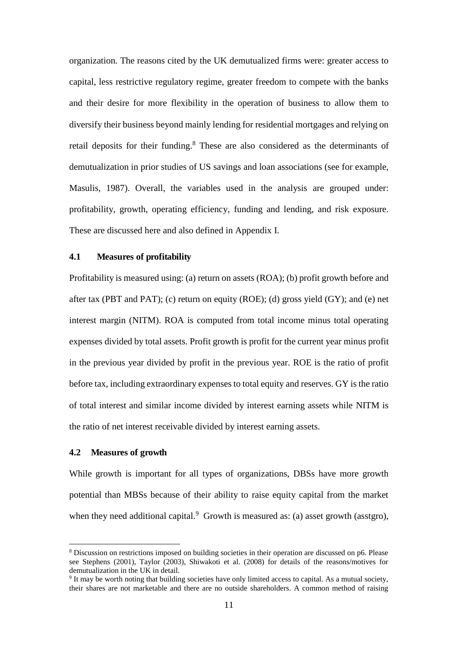organization. The reasons cited by the UK demutualized firms were: greater access to capital, less restrictive regulatory regime, greater freedom to compete with the banks and their desire for more flexibility in the operation of business to allow them to diversify their business beyond mainly lending for residential mortgages and relying on retail deposits for their funding.<sup>8</sup> These are also considered as the determinants of demutualization in prior studies of US savings and loan associations (see for example, Masulis, 1987). Overall, the variables used in the analysis are grouped under: profitability, growth, operating efficiency, funding and lending, and risk exposure. These are discussed here and also defined in Appendix I.

#### **4.1 Measures of profitability**

Profitability is measured using: (a) return on assets (ROA); (b) profit growth before and after tax (PBT and PAT); (c) return on equity (ROE); (d) gross yield (GY); and (e) net interest margin (NITM). ROA is computed from total income minus total operating expenses divided by total assets. Profit growth is profit for the current year minus profit in the previous year divided by profit in the previous year. ROE is the ratio of profit before tax, including extraordinary expenses to total equity and reserves. GY is the ratio of total interest and similar income divided by interest earning assets while NITM is the ratio of net interest receivable divided by interest earning assets.

#### **4.2 Measures of growth**

<u>.</u>

While growth is important for all types of organizations, DBSs have more growth potential than MBSs because of their ability to raise equity capital from the market when they need additional capital. $9$  Growth is measured as: (a) asset growth (asstgro),

<sup>8</sup> Discussion on restrictions imposed on building societies in their operation are discussed on p6. Please see Stephens (2001), Taylor (2003), Shiwakoti et al. (2008) for details of the reasons/motives for demutualization in the UK in detail.

<sup>&</sup>lt;sup>9</sup> It may be worth noting that building societies have only limited access to capital. As a mutual society, their shares are not marketable and there are no outside shareholders. A common method of raising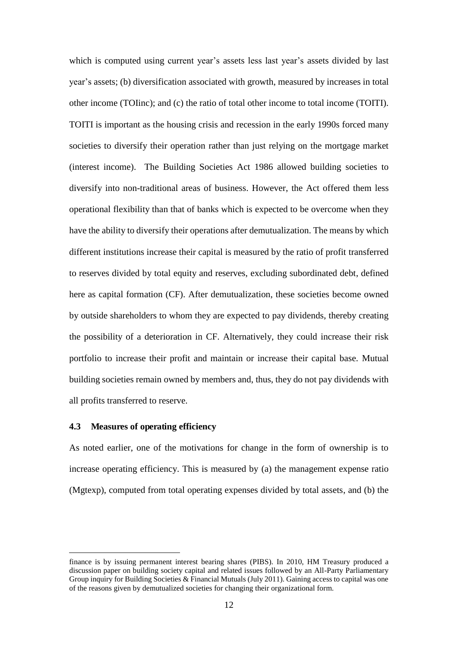which is computed using current year's assets less last year's assets divided by last year's assets; (b) diversification associated with growth, measured by increases in total other income (TOIinc); and (c) the ratio of total other income to total income (TOITI). TOITI is important as the housing crisis and recession in the early 1990s forced many societies to diversify their operation rather than just relying on the mortgage market (interest income). The Building Societies Act 1986 allowed building societies to diversify into non-traditional areas of business. However, the Act offered them less operational flexibility than that of banks which is expected to be overcome when they have the ability to diversify their operations after demutualization. The means by which different institutions increase their capital is measured by the ratio of profit transferred to reserves divided by total equity and reserves, excluding subordinated debt, defined here as capital formation (CF). After demutualization, these societies become owned by outside shareholders to whom they are expected to pay dividends, thereby creating the possibility of a deterioration in CF. Alternatively, they could increase their risk portfolio to increase their profit and maintain or increase their capital base. Mutual building societies remain owned by members and, thus, they do not pay dividends with all profits transferred to reserve.

#### **4.3 Measures of operating efficiency**

<u>.</u>

As noted earlier, one of the motivations for change in the form of ownership is to increase operating efficiency. This is measured by (a) the management expense ratio (Mgtexp), computed from total operating expenses divided by total assets, and (b) the

finance is by issuing permanent interest bearing shares (PIBS). In 2010, HM Treasury produced a discussion paper on building society capital and related issues followed by an All-Party Parliamentary Group inquiry for Building Societies & Financial Mutuals (July 2011). Gaining access to capital was one of the reasons given by demutualized societies for changing their organizational form.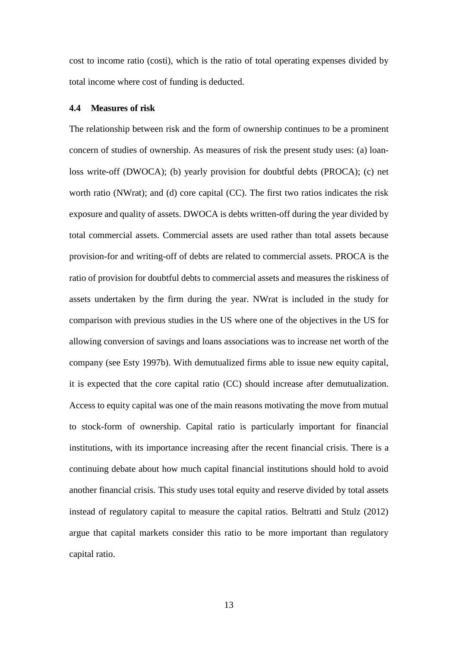cost to income ratio (costi), which is the ratio of total operating expenses divided by total income where cost of funding is deducted.

#### **4.4 Measures of risk**

The relationship between risk and the form of ownership continues to be a prominent concern of studies of ownership. As measures of risk the present study uses: (a) loanloss write-off (DWOCA); (b) yearly provision for doubtful debts (PROCA); (c) net worth ratio (NWrat); and (d) core capital (CC). The first two ratios indicates the risk exposure and quality of assets. DWOCA is debts written-off during the year divided by total commercial assets. Commercial assets are used rather than total assets because provision-for and writing-off of debts are related to commercial assets. PROCA is the ratio of provision for doubtful debts to commercial assets and measures the riskiness of assets undertaken by the firm during the year. NWrat is included in the study for comparison with previous studies in the US where one of the objectives in the US for allowing conversion of savings and loans associations was to increase net worth of the company (see Esty 1997b). With demutualized firms able to issue new equity capital, it is expected that the core capital ratio (CC) should increase after demutualization. Access to equity capital was one of the main reasons motivating the move from mutual to stock-form of ownership. Capital ratio is particularly important for financial institutions, with its importance increasing after the recent financial crisis. There is a continuing debate about how much capital financial institutions should hold to avoid another financial crisis. This study uses total equity and reserve divided by total assets instead of regulatory capital to measure the capital ratios. Beltratti and Stulz (2012) argue that capital markets consider this ratio to be more important than regulatory capital ratio.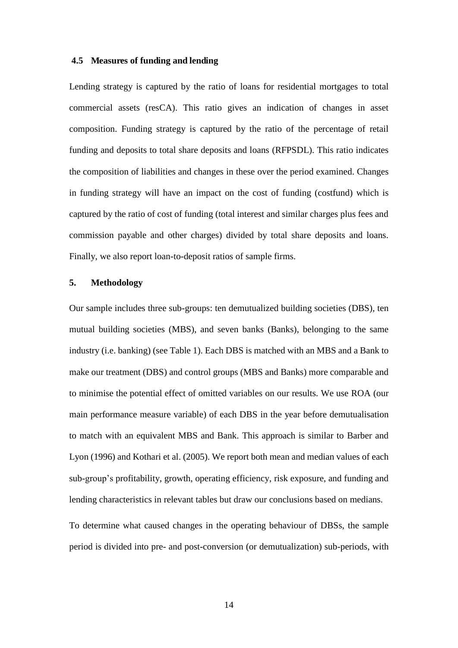#### **4.5 Measures of funding and lending**

Lending strategy is captured by the ratio of loans for residential mortgages to total commercial assets (resCA). This ratio gives an indication of changes in asset composition. Funding strategy is captured by the ratio of the percentage of retail funding and deposits to total share deposits and loans (RFPSDL). This ratio indicates the composition of liabilities and changes in these over the period examined. Changes in funding strategy will have an impact on the cost of funding (costfund) which is captured by the ratio of cost of funding (total interest and similar charges plus fees and commission payable and other charges) divided by total share deposits and loans. Finally, we also report loan-to-deposit ratios of sample firms.

#### **5. Methodology**

Our sample includes three sub-groups: ten demutualized building societies (DBS), ten mutual building societies (MBS), and seven banks (Banks), belonging to the same industry (i.e. banking) (see Table 1). Each DBS is matched with an MBS and a Bank to make our treatment (DBS) and control groups (MBS and Banks) more comparable and to minimise the potential effect of omitted variables on our results. We use ROA (our main performance measure variable) of each DBS in the year before demutualisation to match with an equivalent MBS and Bank. This approach is similar to Barber and Lyon (1996) and Kothari et al. (2005). We report both mean and median values of each sub-group's profitability, growth, operating efficiency, risk exposure, and funding and lending characteristics in relevant tables but draw our conclusions based on medians.

To determine what caused changes in the operating behaviour of DBSs, the sample period is divided into pre- and post-conversion (or demutualization) sub-periods, with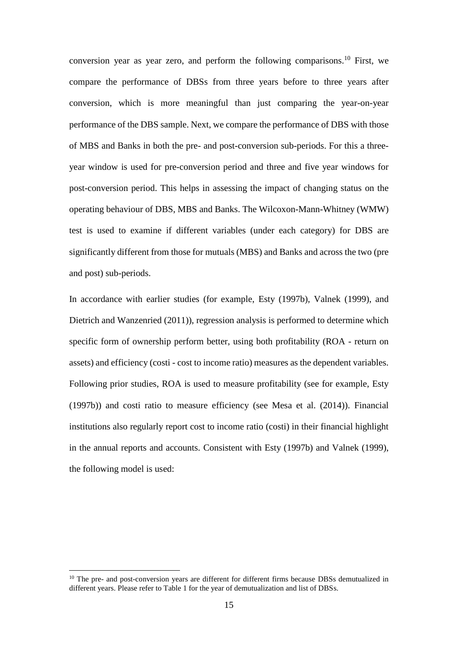conversion year as year zero, and perform the following comparisons.<sup>10</sup> First, we compare the performance of DBSs from three years before to three years after conversion, which is more meaningful than just comparing the year-on-year performance of the DBS sample. Next, we compare the performance of DBS with those of MBS and Banks in both the pre- and post-conversion sub-periods. For this a threeyear window is used for pre-conversion period and three and five year windows for post-conversion period. This helps in assessing the impact of changing status on the operating behaviour of DBS, MBS and Banks. The Wilcoxon-Mann-Whitney (WMW) test is used to examine if different variables (under each category) for DBS are significantly different from those for mutuals (MBS) and Banks and across the two (pre and post) sub-periods.

In accordance with earlier studies (for example, Esty (1997b), Valnek (1999), and Dietrich and Wanzenried (2011)), regression analysis is performed to determine which specific form of ownership perform better, using both profitability (ROA - return on assets) and efficiency (costi - cost to income ratio) measures as the dependent variables. Following prior studies, ROA is used to measure profitability (see for example, Esty (1997b)) and costi ratio to measure efficiency (see Mesa et al. (2014)). Financial institutions also regularly report cost to income ratio (costi) in their financial highlight in the annual reports and accounts. Consistent with Esty (1997b) and Valnek (1999), the following model is used:

 $10$  The pre- and post-conversion years are different for different firms because DBSs demutualized in different years. Please refer to Table 1 for the year of demutualization and list of DBSs.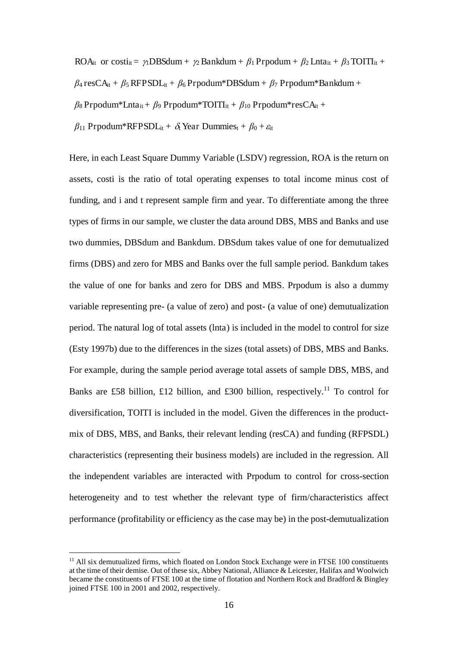ROA<sub>it</sub> or costi<sub>it</sub> =  $\gamma_1$ DBSdum +  $\gamma_2$  Bankdum +  $\beta_1$  Prpodum +  $\beta_2$  Lnta<sub>it</sub> +  $\beta_3$  TOITI<sub>it</sub> +

 $\beta_4$  resCA<sub>it</sub> +  $\beta_5$  RFPSDL<sub>it</sub> +  $\beta_6$  Prpodum\*DBSdum +  $\beta_7$  Prpodum\*Bankdum +

 $\beta_8$  Prpodum\*Lnta<sub>it</sub> +  $\beta_9$  Prpodum\*TOITI<sub>it</sub> +  $\beta_{10}$  Prpodum\*resCA<sub>it</sub> +

 $\beta_{11}$  Prpodum\*RFPSDL<sub>it</sub> +  $\delta_{t}$  Year Dummies<sub>t</sub> +  $\beta_{0}$  +  $\varepsilon_{t}$ 

Here, in each Least Square Dummy Variable (LSDV) regression, ROA is the return on assets, costi is the ratio of total operating expenses to total income minus cost of funding, and i and t represent sample firm and year. To differentiate among the three types of firms in our sample, we cluster the data around DBS, MBS and Banks and use two dummies, DBSdum and Bankdum. DBSdum takes value of one for demutualized firms (DBS) and zero for MBS and Banks over the full sample period. Bankdum takes the value of one for banks and zero for DBS and MBS. Prpodum is also a dummy variable representing pre- (a value of zero) and post- (a value of one) demutualization period. The natural log of total assets (lnta) is included in the model to control for size (Esty 1997b) due to the differences in the sizes (total assets) of DBS, MBS and Banks. For example, during the sample period average total assets of sample DBS, MBS, and Banks are £58 billion, £12 billion, and £300 billion, respectively.<sup>11</sup> To control for diversification, TOITI is included in the model. Given the differences in the productmix of DBS, MBS, and Banks, their relevant lending (resCA) and funding (RFPSDL) characteristics (representing their business models) are included in the regression. All the independent variables are interacted with Prpodum to control for cross-section heterogeneity and to test whether the relevant type of firm/characteristics affect performance (profitability or efficiency as the case may be) in the post-demutualization

 $<sup>11</sup>$  All six demutualized firms, which floated on London Stock Exchange were in FTSE 100 constituents</sup> at the time of their demise. Out of these six, Abbey National, Alliance & Leicester, Halifax and Woolwich became the constituents of FTSE 100 at the time of flotation and Northern Rock and Bradford & Bingley joined FTSE 100 in 2001 and 2002, respectively.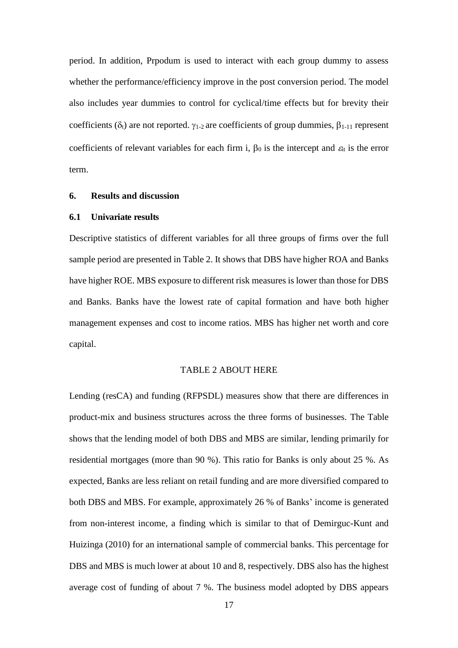period. In addition, Prpodum is used to interact with each group dummy to assess whether the performance/efficiency improve in the post conversion period. The model also includes year dummies to control for cyclical/time effects but for brevity their coefficients ( $\delta_t$ ) are not reported.  $\gamma_{1-2}$  are coefficients of group dummies,  $\beta_{1-11}$  represent coefficients of relevant variables for each firm i,  $\beta_0$  is the intercept and  $\varepsilon_{\text{it}}$  is the error term.

#### **6. Results and discussion**

#### **6.1 Univariate results**

Descriptive statistics of different variables for all three groups of firms over the full sample period are presented in Table 2. It shows that DBS have higher ROA and Banks have higher ROE. MBS exposure to different risk measures is lower than those for DBS and Banks. Banks have the lowest rate of capital formation and have both higher management expenses and cost to income ratios. MBS has higher net worth and core capital.

#### TABLE 2 ABOUT HERE

Lending (resCA) and funding (RFPSDL) measures show that there are differences in product-mix and business structures across the three forms of businesses. The Table shows that the lending model of both DBS and MBS are similar, lending primarily for residential mortgages (more than 90 %). This ratio for Banks is only about 25 %. As expected, Banks are less reliant on retail funding and are more diversified compared to both DBS and MBS. For example, approximately 26 % of Banks' income is generated from non-interest income, a finding which is similar to that of Demirguc-Kunt and Huizinga (2010) for an international sample of commercial banks. This percentage for DBS and MBS is much lower at about 10 and 8, respectively. DBS also has the highest average cost of funding of about 7 %. The business model adopted by DBS appears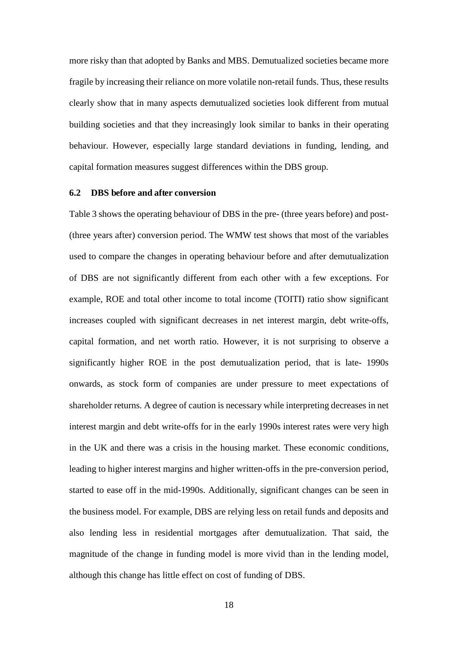more risky than that adopted by Banks and MBS. Demutualized societies became more fragile by increasing their reliance on more volatile non-retail funds. Thus, these results clearly show that in many aspects demutualized societies look different from mutual building societies and that they increasingly look similar to banks in their operating behaviour. However, especially large standard deviations in funding, lending, and capital formation measures suggest differences within the DBS group.

#### **6.2 DBS before and after conversion**

Table 3 shows the operating behaviour of DBS in the pre- (three years before) and post- (three years after) conversion period. The WMW test shows that most of the variables used to compare the changes in operating behaviour before and after demutualization of DBS are not significantly different from each other with a few exceptions. For example, ROE and total other income to total income (TOITI) ratio show significant increases coupled with significant decreases in net interest margin, debt write-offs, capital formation, and net worth ratio. However, it is not surprising to observe a significantly higher ROE in the post demutualization period, that is late- 1990s onwards, as stock form of companies are under pressure to meet expectations of shareholder returns. A degree of caution is necessary while interpreting decreases in net interest margin and debt write-offs for in the early 1990s interest rates were very high in the UK and there was a crisis in the housing market. These economic conditions, leading to higher interest margins and higher written-offs in the pre-conversion period, started to ease off in the mid-1990s. Additionally, significant changes can be seen in the business model. For example, DBS are relying less on retail funds and deposits and also lending less in residential mortgages after demutualization. That said, the magnitude of the change in funding model is more vivid than in the lending model, although this change has little effect on cost of funding of DBS.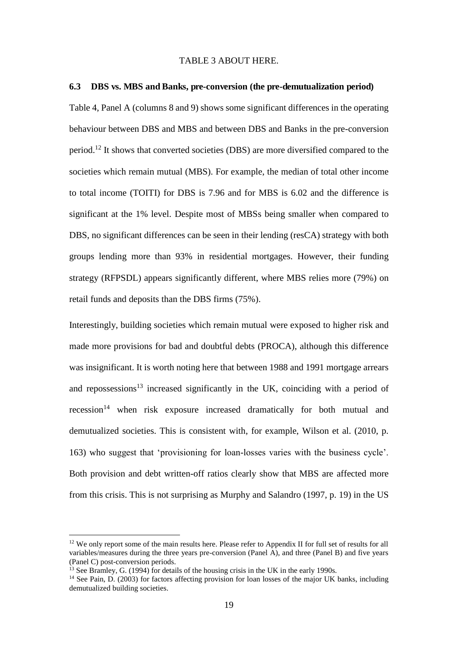#### TABLE 3 ABOUT HERE.

#### **6.3 DBS vs. MBS and Banks, pre-conversion (the pre-demutualization period)**

Table 4, Panel A (columns 8 and 9) shows some significant differences in the operating behaviour between DBS and MBS and between DBS and Banks in the pre-conversion period.<sup>12</sup> It shows that converted societies (DBS) are more diversified compared to the societies which remain mutual (MBS). For example, the median of total other income to total income (TOITI) for DBS is 7.96 and for MBS is 6.02 and the difference is significant at the 1% level. Despite most of MBSs being smaller when compared to DBS, no significant differences can be seen in their lending (resCA) strategy with both groups lending more than 93% in residential mortgages. However, their funding strategy (RFPSDL) appears significantly different, where MBS relies more (79%) on retail funds and deposits than the DBS firms (75%).

Interestingly, building societies which remain mutual were exposed to higher risk and made more provisions for bad and doubtful debts (PROCA), although this difference was insignificant. It is worth noting here that between 1988 and 1991 mortgage arrears and repossessions<sup>13</sup> increased significantly in the UK, coinciding with a period of recession<sup>14</sup> when risk exposure increased dramatically for both mutual and demutualized societies. This is consistent with, for example, Wilson et al. (2010, p. 163) who suggest that 'provisioning for loan-losses varies with the business cycle'. Both provision and debt written-off ratios clearly show that MBS are affected more from this crisis. This is not surprising as Murphy and Salandro (1997, p. 19) in the US

 $12$  We only report some of the main results here. Please refer to Appendix II for full set of results for all variables/measures during the three years pre-conversion (Panel A), and three (Panel B) and five years (Panel C) post-conversion periods.

 $13$  See Bramley, G. (1994) for details of the housing crisis in the UK in the early 1990s.

<sup>&</sup>lt;sup>14</sup> See Pain, D. (2003) for factors affecting provision for loan losses of the major UK banks, including demutualized building societies.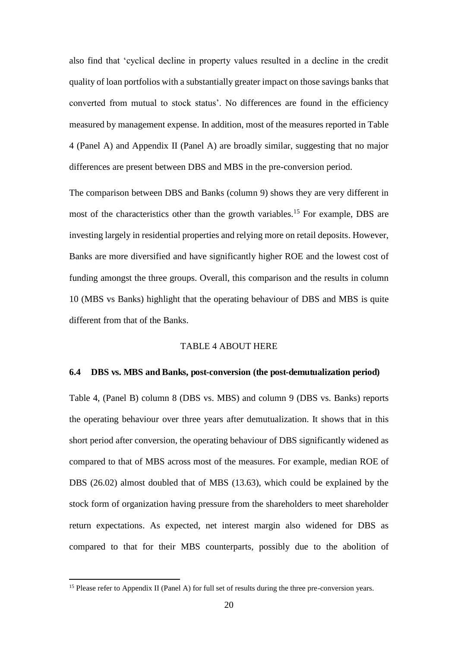also find that 'cyclical decline in property values resulted in a decline in the credit quality of loan portfolios with a substantially greater impact on those savings banks that converted from mutual to stock status'. No differences are found in the efficiency measured by management expense. In addition, most of the measures reported in Table 4 (Panel A) and Appendix II (Panel A) are broadly similar, suggesting that no major differences are present between DBS and MBS in the pre-conversion period.

The comparison between DBS and Banks (column 9) shows they are very different in most of the characteristics other than the growth variables.<sup>15</sup> For example, DBS are investing largely in residential properties and relying more on retail deposits. However, Banks are more diversified and have significantly higher ROE and the lowest cost of funding amongst the three groups. Overall, this comparison and the results in column 10 (MBS vs Banks) highlight that the operating behaviour of DBS and MBS is quite different from that of the Banks.

#### TABLE 4 ABOUT HERE

#### **6.4 DBS vs. MBS and Banks, post-conversion (the post-demutualization period)**

Table 4, (Panel B) column 8 (DBS vs. MBS) and column 9 (DBS vs. Banks) reports the operating behaviour over three years after demutualization. It shows that in this short period after conversion, the operating behaviour of DBS significantly widened as compared to that of MBS across most of the measures. For example, median ROE of DBS (26.02) almost doubled that of MBS (13.63), which could be explained by the stock form of organization having pressure from the shareholders to meet shareholder return expectations. As expected, net interest margin also widened for DBS as compared to that for their MBS counterparts, possibly due to the abolition of

<sup>&</sup>lt;sup>15</sup> Please refer to Appendix II (Panel A) for full set of results during the three pre-conversion years.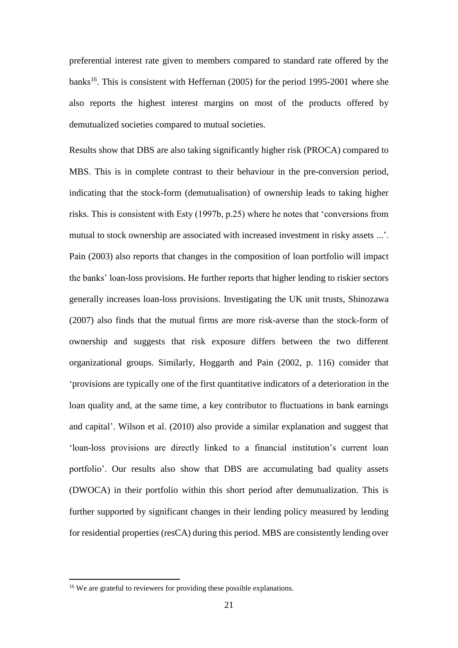preferential interest rate given to members compared to standard rate offered by the banks<sup>16</sup>. This is consistent with Heffernan  $(2005)$  for the period 1995-2001 where she also reports the highest interest margins on most of the products offered by demutualized societies compared to mutual societies.

Results show that DBS are also taking significantly higher risk (PROCA) compared to MBS. This is in complete contrast to their behaviour in the pre-conversion period, indicating that the stock-form (demutualisation) of ownership leads to taking higher risks. This is consistent with Esty (1997b, p.25) where he notes that 'conversions from mutual to stock ownership are associated with increased investment in risky assets ...'. Pain (2003) also reports that changes in the composition of loan portfolio will impact the banks' loan-loss provisions. He further reports that higher lending to riskier sectors generally increases loan-loss provisions. Investigating the UK unit trusts, Shinozawa (2007) also finds that the mutual firms are more risk-averse than the stock-form of ownership and suggests that risk exposure differs between the two different organizational groups. Similarly, Hoggarth and Pain (2002, p. 116) consider that 'provisions are typically one of the first quantitative indicators of a deterioration in the loan quality and, at the same time, a key contributor to fluctuations in bank earnings and capital'. Wilson et al. (2010) also provide a similar explanation and suggest that 'loan-loss provisions are directly linked to a financial institution's current loan portfolio'. Our results also show that DBS are accumulating bad quality assets (DWOCA) in their portfolio within this short period after demutualization. This is further supported by significant changes in their lending policy measured by lending for residential properties (resCA) during this period. MBS are consistently lending over

<sup>&</sup>lt;sup>16</sup> We are grateful to reviewers for providing these possible explanations.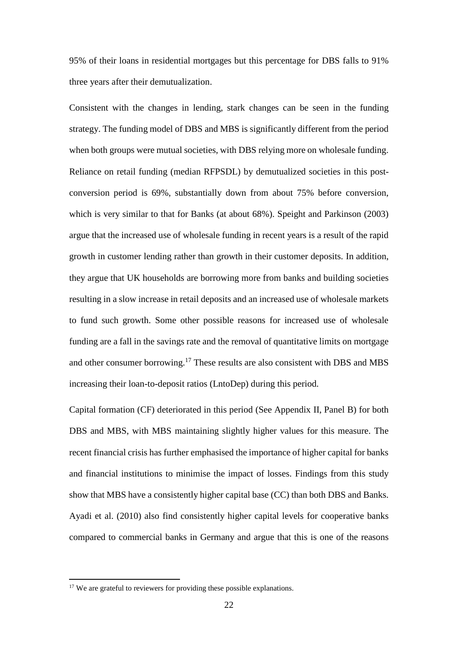95% of their loans in residential mortgages but this percentage for DBS falls to 91% three years after their demutualization.

Consistent with the changes in lending, stark changes can be seen in the funding strategy. The funding model of DBS and MBS is significantly different from the period when both groups were mutual societies, with DBS relying more on wholesale funding. Reliance on retail funding (median RFPSDL) by demutualized societies in this postconversion period is 69%, substantially down from about 75% before conversion, which is very similar to that for Banks (at about 68%). Speight and Parkinson (2003) argue that the increased use of wholesale funding in recent years is a result of the rapid growth in customer lending rather than growth in their customer deposits. In addition, they argue that UK households are borrowing more from banks and building societies resulting in a slow increase in retail deposits and an increased use of wholesale markets to fund such growth. Some other possible reasons for increased use of wholesale funding are a fall in the savings rate and the removal of quantitative limits on mortgage and other consumer borrowing.<sup>17</sup> These results are also consistent with DBS and MBS increasing their loan-to-deposit ratios (LntoDep) during this period.

Capital formation (CF) deteriorated in this period (See Appendix II, Panel B) for both DBS and MBS, with MBS maintaining slightly higher values for this measure. The recent financial crisis has further emphasised the importance of higher capital for banks and financial institutions to minimise the impact of losses. Findings from this study show that MBS have a consistently higher capital base (CC) than both DBS and Banks. Ayadi et al. (2010) also find consistently higher capital levels for cooperative banks compared to commercial banks in Germany and argue that this is one of the reasons

<sup>&</sup>lt;sup>17</sup> We are grateful to reviewers for providing these possible explanations.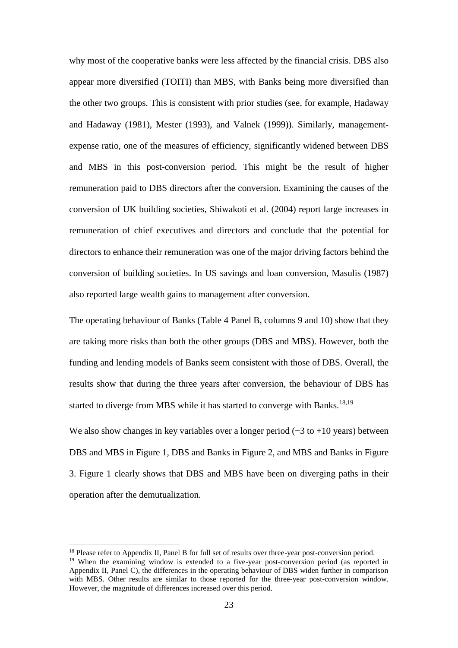why most of the cooperative banks were less affected by the financial crisis. DBS also appear more diversified (TOITI) than MBS, with Banks being more diversified than the other two groups. This is consistent with prior studies (see, for example, Hadaway and Hadaway (1981), Mester (1993), and Valnek (1999)). Similarly, managementexpense ratio, one of the measures of efficiency, significantly widened between DBS and MBS in this post-conversion period. This might be the result of higher remuneration paid to DBS directors after the conversion. Examining the causes of the conversion of UK building societies, Shiwakoti et al. (2004) report large increases in remuneration of chief executives and directors and conclude that the potential for directors to enhance their remuneration was one of the major driving factors behind the conversion of building societies. In US savings and loan conversion, Masulis (1987) also reported large wealth gains to management after conversion.

The operating behaviour of Banks (Table 4 Panel B, columns 9 and 10) show that they are taking more risks than both the other groups (DBS and MBS). However, both the funding and lending models of Banks seem consistent with those of DBS. Overall, the results show that during the three years after conversion, the behaviour of DBS has started to diverge from MBS while it has started to converge with Banks.<sup>18,19</sup>

We also show changes in key variables over a longer period  $(-3 \text{ to } +10 \text{ years})$  between DBS and MBS in Figure 1, DBS and Banks in Figure 2, and MBS and Banks in Figure 3. Figure 1 clearly shows that DBS and MBS have been on diverging paths in their operation after the demutualization.

<sup>&</sup>lt;sup>18</sup> Please refer to Appendix II, Panel B for full set of results over three-year post-conversion period.  $19$  When the examining window is extended to a five-year post-conversion period (as reported in Appendix II, Panel C), the differences in the operating behaviour of DBS widen further in comparison with MBS. Other results are similar to those reported for the three-year post-conversion window. However, the magnitude of differences increased over this period.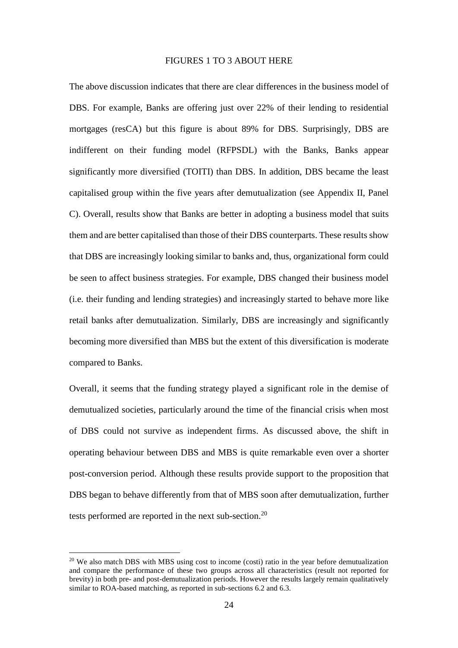#### FIGURES 1 TO 3 ABOUT HERE

The above discussion indicates that there are clear differences in the business model of DBS. For example, Banks are offering just over 22% of their lending to residential mortgages (resCA) but this figure is about 89% for DBS. Surprisingly, DBS are indifferent on their funding model (RFPSDL) with the Banks, Banks appear significantly more diversified (TOITI) than DBS. In addition, DBS became the least capitalised group within the five years after demutualization (see Appendix II, Panel C). Overall, results show that Banks are better in adopting a business model that suits them and are better capitalised than those of their DBS counterparts. These results show that DBS are increasingly looking similar to banks and, thus, organizational form could be seen to affect business strategies. For example, DBS changed their business model (i.e. their funding and lending strategies) and increasingly started to behave more like retail banks after demutualization. Similarly, DBS are increasingly and significantly becoming more diversified than MBS but the extent of this diversification is moderate compared to Banks.

Overall, it seems that the funding strategy played a significant role in the demise of demutualized societies, particularly around the time of the financial crisis when most of DBS could not survive as independent firms. As discussed above, the shift in operating behaviour between DBS and MBS is quite remarkable even over a shorter post-conversion period. Although these results provide support to the proposition that DBS began to behave differently from that of MBS soon after demutualization, further tests performed are reported in the next sub-section.<sup>20</sup>

<sup>&</sup>lt;sup>20</sup> We also match DBS with MBS using cost to income (costi) ratio in the year before demutualization and compare the performance of these two groups across all characteristics (result not reported for brevity) in both pre- and post-demutualization periods. However the results largely remain qualitatively similar to ROA-based matching, as reported in sub-sections 6.2 and 6.3.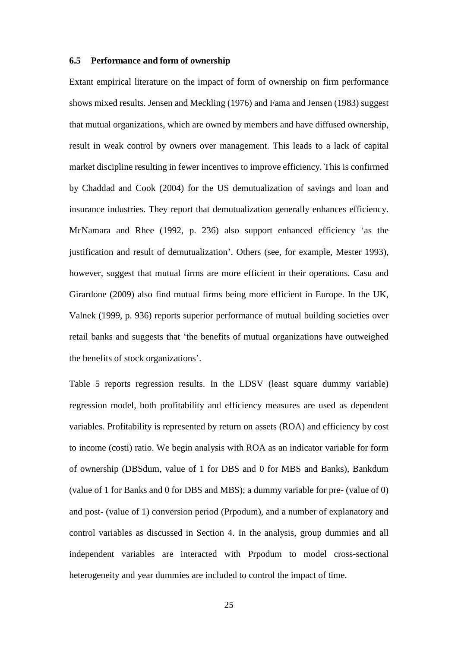#### **6.5 Performance and form of ownership**

Extant empirical literature on the impact of form of ownership on firm performance shows mixed results. Jensen and Meckling (1976) and Fama and Jensen (1983) suggest that mutual organizations, which are owned by members and have diffused ownership, result in weak control by owners over management. This leads to a lack of capital market discipline resulting in fewer incentives to improve efficiency. This is confirmed by Chaddad and Cook (2004) for the US demutualization of savings and loan and insurance industries. They report that demutualization generally enhances efficiency. McNamara and Rhee (1992, p. 236) also support enhanced efficiency 'as the justification and result of demutualization'. Others (see, for example, Mester 1993), however, suggest that mutual firms are more efficient in their operations. Casu and Girardone (2009) also find mutual firms being more efficient in Europe. In the UK, Valnek (1999, p. 936) reports superior performance of mutual building societies over retail banks and suggests that 'the benefits of mutual organizations have outweighed the benefits of stock organizations'.

Table 5 reports regression results. In the LDSV (least square dummy variable) regression model, both profitability and efficiency measures are used as dependent variables. Profitability is represented by return on assets (ROA) and efficiency by cost to income (costi) ratio. We begin analysis with ROA as an indicator variable for form of ownership (DBSdum, value of 1 for DBS and 0 for MBS and Banks), Bankdum (value of 1 for Banks and 0 for DBS and MBS); a dummy variable for pre- (value of 0) and post- (value of 1) conversion period (Prpodum), and a number of explanatory and control variables as discussed in Section 4. In the analysis, group dummies and all independent variables are interacted with Prpodum to model cross-sectional heterogeneity and year dummies are included to control the impact of time.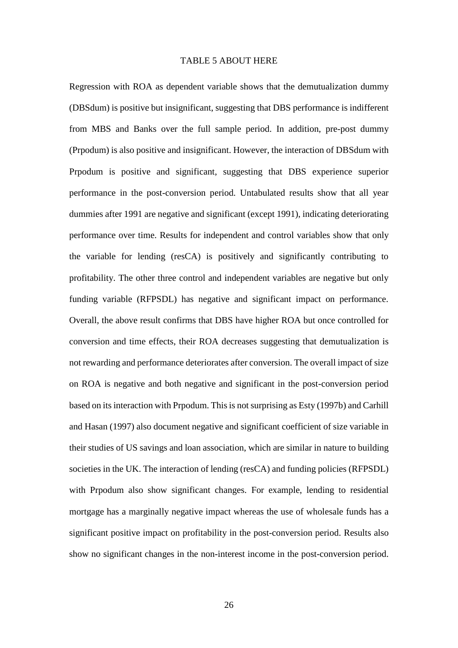#### TABLE 5 ABOUT HERE

Regression with ROA as dependent variable shows that the demutualization dummy (DBSdum) is positive but insignificant, suggesting that DBS performance is indifferent from MBS and Banks over the full sample period. In addition, pre-post dummy (Prpodum) is also positive and insignificant. However, the interaction of DBSdum with Prpodum is positive and significant, suggesting that DBS experience superior performance in the post-conversion period. Untabulated results show that all year dummies after 1991 are negative and significant (except 1991), indicating deteriorating performance over time. Results for independent and control variables show that only the variable for lending (resCA) is positively and significantly contributing to profitability. The other three control and independent variables are negative but only funding variable (RFPSDL) has negative and significant impact on performance. Overall, the above result confirms that DBS have higher ROA but once controlled for conversion and time effects, their ROA decreases suggesting that demutualization is not rewarding and performance deteriorates after conversion. The overall impact of size on ROA is negative and both negative and significant in the post-conversion period based on its interaction with Prpodum. This is not surprising as Esty (1997b) and Carhill and Hasan (1997) also document negative and significant coefficient of size variable in their studies of US savings and loan association, which are similar in nature to building societies in the UK. The interaction of lending (resCA) and funding policies (RFPSDL) with Prpodum also show significant changes. For example, lending to residential mortgage has a marginally negative impact whereas the use of wholesale funds has a significant positive impact on profitability in the post-conversion period. Results also show no significant changes in the non-interest income in the post-conversion period.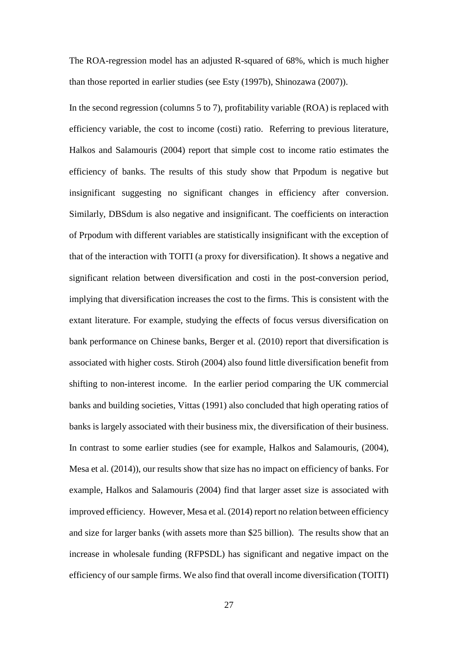The ROA-regression model has an adjusted R-squared of 68%, which is much higher than those reported in earlier studies (see Esty (1997b), Shinozawa (2007)).

In the second regression (columns 5 to 7), profitability variable (ROA) is replaced with efficiency variable, the cost to income (costi) ratio. Referring to previous literature, Halkos and Salamouris (2004) report that simple cost to income ratio estimates the efficiency of banks. The results of this study show that Prpodum is negative but insignificant suggesting no significant changes in efficiency after conversion. Similarly, DBSdum is also negative and insignificant. The coefficients on interaction of Prpodum with different variables are statistically insignificant with the exception of that of the interaction with TOITI (a proxy for diversification). It shows a negative and significant relation between diversification and costi in the post-conversion period, implying that diversification increases the cost to the firms. This is consistent with the extant literature. For example, studying the effects of focus versus diversification on bank performance on Chinese banks, Berger et al. (2010) report that diversification is associated with higher costs. Stiroh (2004) also found little diversification benefit from shifting to non-interest income. In the earlier period comparing the UK commercial banks and building societies, Vittas (1991) also concluded that high operating ratios of banks is largely associated with their business mix, the diversification of their business. In contrast to some earlier studies (see for example, Halkos and Salamouris, (2004), Mesa et al. (2014)), our results show that size has no impact on efficiency of banks. For example, Halkos and Salamouris (2004) find that larger asset size is associated with improved efficiency. However, Mesa et al. (2014) report no relation between efficiency and size for larger banks (with assets more than \$25 billion). The results show that an increase in wholesale funding (RFPSDL) has significant and negative impact on the efficiency of our sample firms. We also find that overall income diversification (TOITI)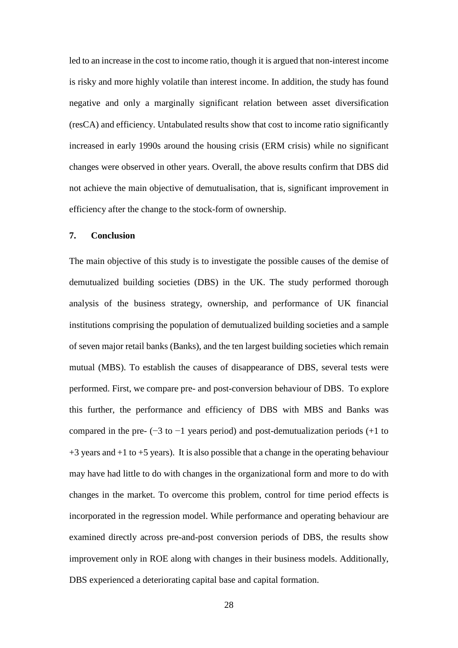led to an increase in the cost to income ratio, though it is argued that non-interest income is risky and more highly volatile than interest income. In addition, the study has found negative and only a marginally significant relation between asset diversification (resCA) and efficiency. Untabulated results show that cost to income ratio significantly increased in early 1990s around the housing crisis (ERM crisis) while no significant changes were observed in other years. Overall, the above results confirm that DBS did not achieve the main objective of demutualisation, that is, significant improvement in efficiency after the change to the stock-form of ownership.

#### **7. Conclusion**

The main objective of this study is to investigate the possible causes of the demise of demutualized building societies (DBS) in the UK. The study performed thorough analysis of the business strategy, ownership, and performance of UK financial institutions comprising the population of demutualized building societies and a sample of seven major retail banks (Banks), and the ten largest building societies which remain mutual (MBS). To establish the causes of disappearance of DBS, several tests were performed. First, we compare pre- and post-conversion behaviour of DBS. To explore this further, the performance and efficiency of DBS with MBS and Banks was compared in the pre-  $(-3 \text{ to } -1)$  years period) and post-demutualization periods  $(+1 \text{ to } -1)$  $+3$  years and  $+1$  to  $+5$  years). It is also possible that a change in the operating behaviour may have had little to do with changes in the organizational form and more to do with changes in the market. To overcome this problem, control for time period effects is incorporated in the regression model. While performance and operating behaviour are examined directly across pre-and-post conversion periods of DBS, the results show improvement only in ROE along with changes in their business models. Additionally, DBS experienced a deteriorating capital base and capital formation.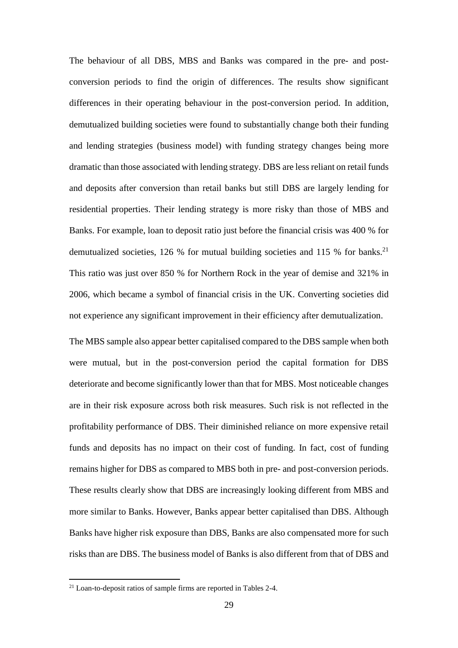The behaviour of all DBS, MBS and Banks was compared in the pre- and postconversion periods to find the origin of differences. The results show significant differences in their operating behaviour in the post-conversion period. In addition, demutualized building societies were found to substantially change both their funding and lending strategies (business model) with funding strategy changes being more dramatic than those associated with lending strategy. DBS are less reliant on retail funds and deposits after conversion than retail banks but still DBS are largely lending for residential properties. Their lending strategy is more risky than those of MBS and Banks. For example, loan to deposit ratio just before the financial crisis was 400 % for demutualized societies, 126 % for mutual building societies and 115 % for banks.<sup>21</sup> This ratio was just over 850 % for Northern Rock in the year of demise and 321% in 2006, which became a symbol of financial crisis in the UK. Converting societies did not experience any significant improvement in their efficiency after demutualization.

The MBS sample also appear better capitalised compared to the DBS sample when both were mutual, but in the post-conversion period the capital formation for DBS deteriorate and become significantly lower than that for MBS. Most noticeable changes are in their risk exposure across both risk measures. Such risk is not reflected in the profitability performance of DBS. Their diminished reliance on more expensive retail funds and deposits has no impact on their cost of funding. In fact, cost of funding remains higher for DBS as compared to MBS both in pre- and post-conversion periods. These results clearly show that DBS are increasingly looking different from MBS and more similar to Banks. However, Banks appear better capitalised than DBS. Although Banks have higher risk exposure than DBS, Banks are also compensated more for such risks than are DBS. The business model of Banks is also different from that of DBS and

 $21$  Loan-to-deposit ratios of sample firms are reported in Tables 2-4.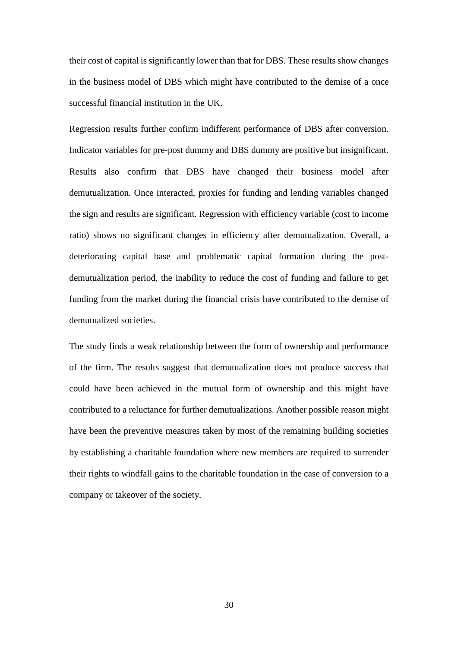their cost of capital is significantly lower than that for DBS. These results show changes in the business model of DBS which might have contributed to the demise of a once successful financial institution in the UK.

Regression results further confirm indifferent performance of DBS after conversion. Indicator variables for pre-post dummy and DBS dummy are positive but insignificant. Results also confirm that DBS have changed their business model after demutualization. Once interacted, proxies for funding and lending variables changed the sign and results are significant. Regression with efficiency variable (cost to income ratio) shows no significant changes in efficiency after demutualization. Overall, a deteriorating capital base and problematic capital formation during the postdemutualization period, the inability to reduce the cost of funding and failure to get funding from the market during the financial crisis have contributed to the demise of demutualized societies.

The study finds a weak relationship between the form of ownership and performance of the firm. The results suggest that demutualization does not produce success that could have been achieved in the mutual form of ownership and this might have contributed to a reluctance for further demutualizations. Another possible reason might have been the preventive measures taken by most of the remaining building societies by establishing a charitable foundation where new members are required to surrender their rights to windfall gains to the charitable foundation in the case of conversion to a company or takeover of the society.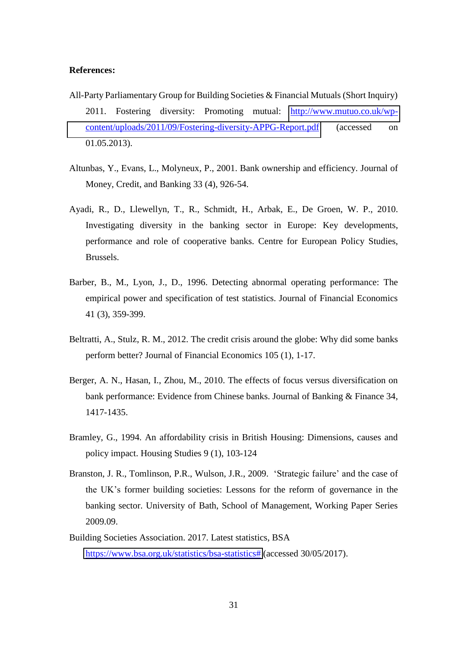#### **References:**

- All-Party Parliamentary Group for Building Societies & Financial Mutuals (Short Inquiry) 2011. Fostering diversity: Promoting mutual: [http://www.mutuo.co.uk/wp](http://www.mutuo.co.uk/wp-content/uploads/2011/09/Fostering-diversity-APPG-Report.pdf)[content/uploads/2011/09/Fostering-diversity-APPG-Report.pdf](http://www.mutuo.co.uk/wp-content/uploads/2011/09/Fostering-diversity-APPG-Report.pdf) (accessed on 01.05.2013).
- Altunbas, Y., Evans, L., Molyneux, P., 2001. Bank ownership and efficiency. Journal of Money, Credit, and Banking 33 (4), 926-54.
- Ayadi, R., D., Llewellyn, T., R., Schmidt, H., Arbak, E., De Groen, W. P., 2010. Investigating diversity in the banking sector in Europe: Key developments, performance and role of cooperative banks. Centre for European Policy Studies, Brussels.
- Barber, B., M., Lyon, J., D., 1996. Detecting abnormal operating performance: The empirical power and specification of test statistics. Journal of Financial Economics 41 (3), 359-399.
- Beltratti, A., Stulz, R. M., 2012. The credit crisis around the globe: Why did some banks perform better? Journal of Financial Economics 105 (1), 1-17.
- Berger, A. N., Hasan, I., Zhou, M., 2010. The effects of focus versus diversification on bank performance: Evidence from Chinese banks. Journal of Banking & Finance 34, 1417-1435.
- Bramley, G., 1994. An affordability crisis in British Housing: Dimensions, causes and policy impact. Housing Studies 9 (1), 103-124
- Branston, J. R., Tomlinson, P.R., Wulson, J.R., 2009. 'Strategic failure' and the case of the UK's former building societies: Lessons for the reform of governance in the banking sector. University of Bath, School of Management, Working Paper Series 2009.09.
- Building Societies Association. 2017. Latest statistics, BSA [https://www.bsa.org.uk/statistics/bsa-statistics#](https://www.bsa.org.uk/statistics/bsa-statistics) (accessed 30/05/2017).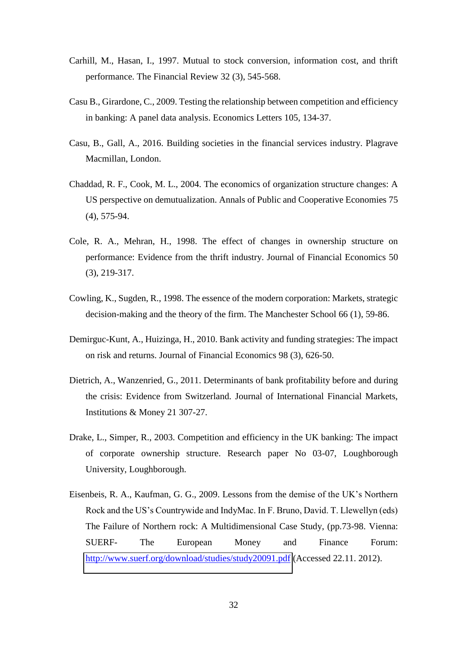- Carhill, M., Hasan, I., 1997. Mutual to stock conversion, information cost, and thrift performance. The Financial Review 32 (3), 545-568.
- Casu B., Girardone, C., 2009. Testing the relationship between competition and efficiency in banking: A panel data analysis. Economics Letters 105, 134-37.
- Casu, B., Gall, A., 2016. Building societies in the financial services industry. Plagrave Macmillan, London.
- Chaddad, R. F., Cook, M. L., 2004. The economics of organization structure changes: A US perspective on demutualization. Annals of Public and Cooperative Economies 75 (4), 575-94.
- Cole, R. A., Mehran, H., 1998. The effect of changes in ownership structure on performance: Evidence from the thrift industry. Journal of Financial Economics 50 (3), 219-317.
- Cowling, K., Sugden, R., 1998. The essence of the modern corporation: Markets, strategic decision-making and the theory of the firm. The Manchester School 66 (1), 59-86.
- Demirguc-Kunt, A., Huizinga, H., 2010. Bank activity and funding strategies: The impact on risk and returns. Journal of Financial Economics 98 (3), 626-50.
- Dietrich, A., Wanzenried, G., 2011. Determinants of bank profitability before and during the crisis: Evidence from Switzerland. Journal of International Financial Markets, Institutions & Money 21 307-27.
- Drake, L., Simper, R., 2003. Competition and efficiency in the UK banking: The impact of corporate ownership structure. Research paper No 03-07, Loughborough University, Loughborough.
- Eisenbeis, R. A., Kaufman, G. G., 2009. Lessons from the demise of the UK's Northern Rock and the US's Countrywide and IndyMac. In F. Bruno, David. T. Llewellyn (eds) The Failure of Northern rock: A Multidimensional Case Study, (pp.73-98. Vienna: SUERF- The European Money and Finance Forum: <http://www.suerf.org/download/studies/study20091.pdf>(Accessed 22.11. 2012).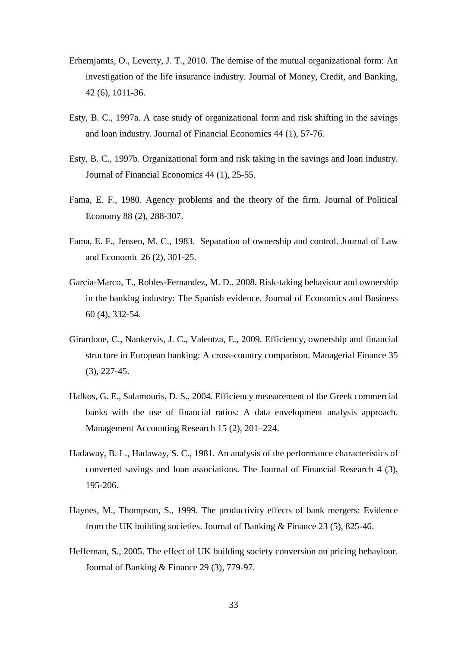- Erhemjamts, O., Leverty, J. T., 2010. The demise of the mutual organizational form: An investigation of the life insurance industry. Journal of Money, Credit, and Banking, 42 (6), 1011-36.
- Esty, B. C., 1997a. A case study of organizational form and risk shifting in the savings and loan industry. Journal of Financial Economics 44 (1), 57-76.
- Esty, B. C., 1997b. Organizational form and risk taking in the savings and loan industry. Journal of Financial Economics 44 (1), 25-55.
- Fama, E. F., 1980. Agency problems and the theory of the firm. Journal of Political Economy 88 (2), 288-307.
- Fama, E. F., Jensen, M. C., 1983. Separation of ownership and control. Journal of Law and Economic 26 (2), 301-25.
- Garcia-Marco, T., Robles-Fernandez, M. D., 2008. Risk-taking behaviour and ownership in the banking industry: The Spanish evidence. Journal of Economics and Business 60 (4), 332-54.
- Girardone, C., Nankervis, J. C., Valentza, E., 2009. Efficiency, ownership and financial structure in European banking: A cross-country comparison. Managerial Finance 35 (3), 227-45.
- Halkos, G. E., Salamouris, D. S., 2004. Efficiency measurement of the Greek commercial banks with the use of financial ratios: A data envelopment analysis approach. Management Accounting Research 15 (2), 201–224.
- Hadaway, B. L., Hadaway, S. C., 1981. An analysis of the performance characteristics of converted savings and loan associations. The Journal of Financial Research 4 (3), 195-206.
- Haynes, M., Thompson, S., 1999. The productivity effects of bank mergers: Evidence from the UK building societies. Journal of Banking & Finance 23 (5), 825-46.
- Heffernan, S., 2005. The effect of UK building society conversion on pricing behaviour. Journal of Banking & Finance 29 (3), 779-97.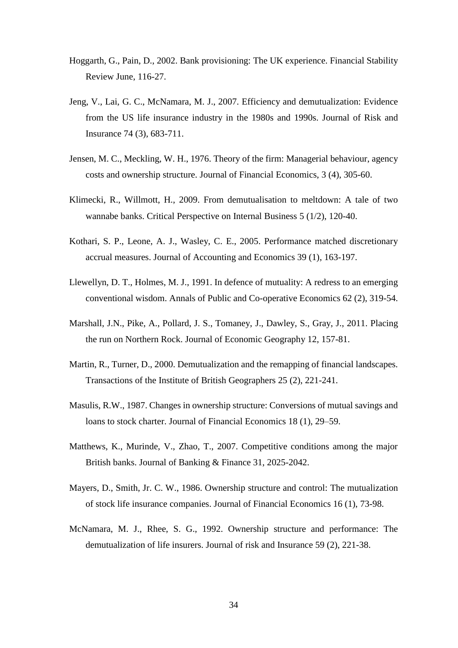- Hoggarth, G., Pain, D., 2002. Bank provisioning: The UK experience. Financial Stability Review June, 116-27.
- Jeng, V., Lai, G. C., McNamara, M. J., 2007. Efficiency and demutualization: Evidence from the US life insurance industry in the 1980s and 1990s. Journal of Risk and Insurance 74 (3), 683-711.
- Jensen, M. C., Meckling, W. H., 1976. Theory of the firm: Managerial behaviour, agency costs and ownership structure. Journal of Financial Economics, 3 (4), 305-60.
- Klimecki, R., Willmott, H., 2009. From demutualisation to meltdown: A tale of two wannabe banks. Critical Perspective on Internal Business 5 (1/2), 120-40.
- Kothari, S. P., Leone, A. J., Wasley, C. E., 2005. Performance matched discretionary accrual measures. Journal of Accounting and Economics 39 (1), 163-197.
- Llewellyn, D. T., Holmes, M. J., 1991. In defence of mutuality: A redress to an emerging conventional wisdom. Annals of Public and Co-operative Economics 62 (2), 319-54.
- Marshall, J.N., Pike, A., Pollard, J. S., Tomaney, J., Dawley, S., Gray, J., 2011. Placing the run on Northern Rock. Journal of Economic Geography 12, 157-81.
- Martin, R., Turner, D., 2000. Demutualization and the remapping of financial landscapes. Transactions of the Institute of British Geographers 25 (2), 221-241.
- Masulis, R.W., 1987. Changes in ownership structure: Conversions of mutual savings and loans to stock charter. Journal of Financial Economics 18 (1), 29–59.
- Matthews, K., Murinde, V., Zhao, T., 2007. Competitive conditions among the major British banks. Journal of Banking & Finance 31, 2025-2042.
- Mayers, D., Smith, Jr. C. W., 1986. Ownership structure and control: The mutualization of stock life insurance companies. Journal of Financial Economics 16 (1), 73-98.
- McNamara, M. J., Rhee, S. G., 1992. Ownership structure and performance: The demutualization of life insurers. Journal of risk and Insurance 59 (2), 221-38.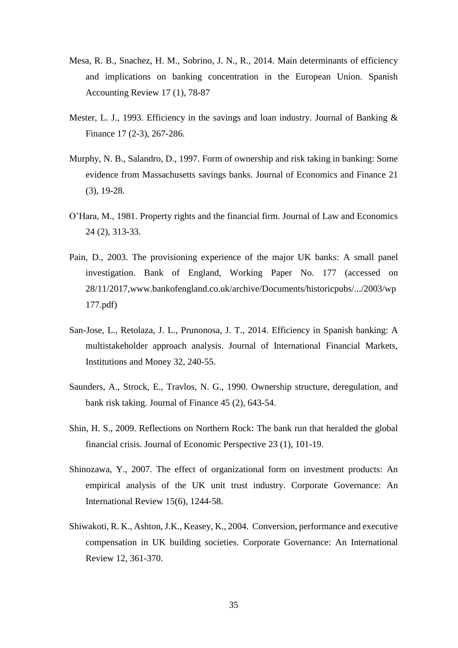- Mesa, R. B., Snachez, H. M., Sobrino, J. N., R., 2014. Main determinants of efficiency and implications on banking concentration in the European Union. Spanish Accounting Review 17 (1), 78-87
- Mester, L. J., 1993. Efficiency in the savings and loan industry. Journal of Banking & Finance 17 (2-3), 267-286.
- Murphy, N. B., Salandro, D., 1997. Form of ownership and risk taking in banking: Some evidence from Massachusetts savings banks. Journal of Economics and Finance 21 (3), 19-28.
- O'Hara, M., 1981. Property rights and the financial firm. Journal of Law and Economics 24 (2), 313-33.
- Pain, D., 2003. The provisioning experience of the major UK banks: A small panel investigation. Bank of England, Working Paper No. 177 (accessed on 28/11/2017,www.bankofengland.co.uk/archive/Documents/historicpubs/.../2003/wp 177.pdf)
- San-Jose, L., Retolaza, J. L., Prunonosa, J. T., 2014. Efficiency in Spanish banking: A multistakeholder approach analysis. Journal of International Financial Markets, Institutions and Money 32, 240-55.
- Saunders, A., Strock, E., Travlos, N. G., 1990. Ownership structure, deregulation, and bank risk taking. Journal of Finance 45 (2), 643-54.
- Shin, H. S., 2009. Reflections on Northern Rock: The bank run that heralded the global financial crisis. Journal of Economic Perspective 23 (1), 101-19.
- Shinozawa, Y., 2007. The effect of organizational form on investment products: An empirical analysis of the UK unit trust industry. Corporate Governance: An International Review 15(6), 1244-58.
- Shiwakoti, R. K., Ashton, J.K., Keasey, K., 2004. Conversion, performance and executive compensation in UK building societies. Corporate Governance: An International Review 12, 361-370.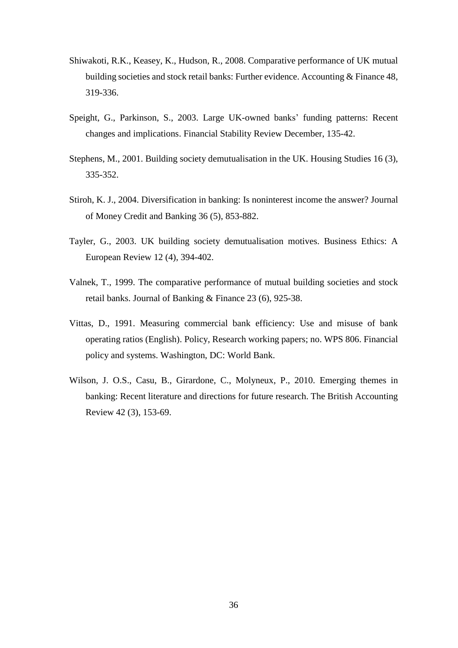- Shiwakoti, R.K., Keasey, K., Hudson, R., 2008. Comparative performance of UK mutual building societies and stock retail banks: Further evidence. Accounting & Finance 48, 319-336.
- Speight, G., Parkinson, S., 2003. Large UK-owned banks' funding patterns: Recent changes and implications. Financial Stability Review December, 135-42.
- Stephens, M., 2001. Building society demutualisation in the UK. Housing Studies 16 (3), 335-352.
- Stiroh, K. J., 2004. Diversification in banking: Is noninterest income the answer? Journal of Money Credit and Banking 36 (5), 853-882.
- Tayler, G., 2003. UK building society demutualisation motives. Business Ethics: A European Review 12 (4), 394-402.
- Valnek, T., 1999. The comparative performance of mutual building societies and stock retail banks. Journal of Banking & Finance 23 (6), 925-38.
- Vittas, D., 1991. Measuring commercial bank efficiency: Use and misuse of bank operating ratios (English). Policy, Research working papers; no. WPS 806. Financial policy and systems. Washington, DC: World Bank.
- Wilson, J. O.S., Casu, B., Girardone, C., Molyneux, P., 2010. Emerging themes in banking: Recent literature and directions for future research. The British Accounting Review 42 (3), 153-69.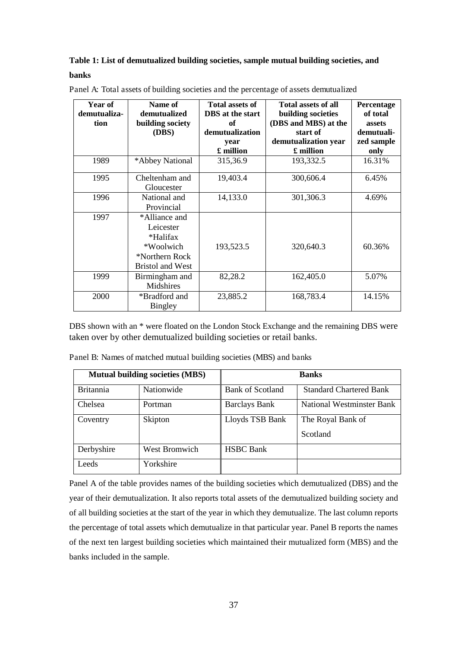#### **Table 1: List of demutualized building societies, sample mutual building societies, and banks**

| Year of<br>demutualiza- | Name of<br>demutualized | <b>Total assets of</b><br><b>DBS</b> at the start | <b>Total assets of all</b><br>building societies | Percentage<br>of total |
|-------------------------|-------------------------|---------------------------------------------------|--------------------------------------------------|------------------------|
| tion                    | building society        | of                                                | (DBS and MBS) at the                             | <b>assets</b>          |
|                         | (DBS)                   | demutualization                                   | start of                                         | demutuali-             |
|                         |                         | year                                              | demutualization year                             | zed sample             |
|                         |                         | £ million                                         | £ million                                        | only                   |
| 1989                    | *Abbey National         | 315,36.9                                          | 193,332.5                                        | 16.31%                 |
| 1995                    | Cheltenham and          | 19,403.4                                          | 300,606.4                                        | 6.45%                  |
|                         | Gloucester              |                                                   |                                                  |                        |
| 1996                    | National and            | 14,133.0                                          | 301,306.3                                        | 4.69%                  |
|                         | Provincial              |                                                   |                                                  |                        |
| 1997                    | *Alliance and           |                                                   |                                                  |                        |
|                         | Leicester               |                                                   |                                                  |                        |
|                         | *Halifax                |                                                   |                                                  |                        |
|                         | *Woolwich               | 193,523.5                                         | 320,640.3                                        | 60.36%                 |
|                         | *Northern Rock          |                                                   |                                                  |                        |
|                         | <b>Bristol and West</b> |                                                   |                                                  |                        |
| 1999                    | Birmingham and          | 82,28.2                                           | 162,405.0                                        | 5.07%                  |
|                         | Midshires               |                                                   |                                                  |                        |
| 2000                    | *Bradford and           | 23,885.2                                          | 168,783.4                                        | 14.15%                 |
|                         | <b>Bingley</b>          |                                                   |                                                  |                        |

Panel A: Total assets of building societies and the percentage of assets demutualized

DBS shown with an \* were floated on the London Stock Exchange and the remaining DBS were taken over by other demutualized building societies or retail banks.

Panel B: Names of matched mutual building societies (MBS) and banks

|                  | <b>Mutual building societies (MBS)</b> |                         | <b>Banks</b>                   |
|------------------|----------------------------------------|-------------------------|--------------------------------|
| <b>Britannia</b> | Nationwide                             | <b>Bank of Scotland</b> | <b>Standard Chartered Bank</b> |
| Chelsea          | Portman                                | <b>Barclays Bank</b>    | National Westminster Bank      |
| Coventry         | Skipton                                | Lloyds TSB Bank         | The Royal Bank of              |
|                  |                                        |                         | Scotland                       |
| Derbyshire       | <b>West Bromwich</b>                   | <b>HSBC</b> Bank        |                                |
| Leeds            | Yorkshire                              |                         |                                |

Panel A of the table provides names of the building societies which demutualized (DBS) and the year of their demutualization. It also reports total assets of the demutualized building society and of all building societies at the start of the year in which they demutualize. The last column reports the percentage of total assets which demutualize in that particular year. Panel B reports the names of the next ten largest building societies which maintained their mutualized form (MBS) and the banks included in the sample.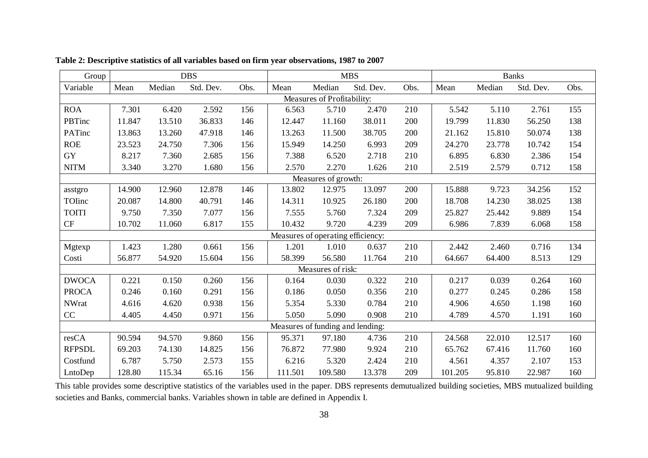| Group         |                            |        | <b>DBS</b> |      |         |                                   | <b>MBS</b> |      |         | <b>Banks</b> |           |      |
|---------------|----------------------------|--------|------------|------|---------|-----------------------------------|------------|------|---------|--------------|-----------|------|
| Variable      | Mean                       | Median | Std. Dev.  | Obs. | Mean    | Median                            | Std. Dev.  | Obs. | Mean    | Median       | Std. Dev. | Obs. |
|               | Measures of Profitability: |        |            |      |         |                                   |            |      |         |              |           |      |
| <b>ROA</b>    | 7.301                      | 6.420  | 2.592      | 156  | 6.563   | 5.710                             | 2.470      | 210  | 5.542   | 5.110        | 2.761     | 155  |
| PBTinc        | 11.847                     | 13.510 | 36.833     | 146  | 12.447  | 11.160                            | 38.011     | 200  | 19.799  | 11.830       | 56.250    | 138  |
| PATinc        | 13.863                     | 13.260 | 47.918     | 146  | 13.263  | 11.500                            | 38.705     | 200  | 21.162  | 15.810       | 50.074    | 138  |
| <b>ROE</b>    | 23.523                     | 24.750 | 7.306      | 156  | 15.949  | 14.250                            | 6.993      | 209  | 24.270  | 23.778       | 10.742    | 154  |
| <b>GY</b>     | 8.217                      | 7.360  | 2.685      | 156  | 7.388   | 6.520                             | 2.718      | 210  | 6.895   | 6.830        | 2.386     | 154  |
| <b>NITM</b>   | 3.340                      | 3.270  | 1.680      | 156  | 2.570   | 2.270                             | 1.626      | 210  | 2.519   | 2.579        | 0.712     | 158  |
|               |                            |        |            |      |         | Measures of growth:               |            |      |         |              |           |      |
| asstgro       | 14.900                     | 12.960 | 12.878     | 146  | 13.802  | 12.975                            | 13.097     | 200  | 15.888  | 9.723        | 34.256    | 152  |
| TOInc         | 20.087                     | 14.800 | 40.791     | 146  | 14.311  | 10.925                            | 26.180     | 200  | 18.708  | 14.230       | 38.025    | 138  |
| <b>TOITI</b>  | 9.750                      | 7.350  | 7.077      | 156  | 7.555   | 5.760                             | 7.324      | 209  | 25.827  | 25.442       | 9.889     | 154  |
| CF            | 10.702                     | 11.060 | 6.817      | 155  | 10.432  | 9.720                             | 4.239      | 209  | 6.986   | 7.839        | 6.068     | 158  |
|               |                            |        |            |      |         | Measures of operating efficiency: |            |      |         |              |           |      |
| Mgtexp        | 1.423                      | 1.280  | 0.661      | 156  | 1.201   | 1.010                             | 0.637      | 210  | 2.442   | 2.460        | 0.716     | 134  |
| Costi         | 56.877                     | 54.920 | 15.604     | 156  | 58.399  | 56.580                            | 11.764     | 210  | 64.667  | 64.400       | 8.513     | 129  |
|               |                            |        |            |      |         | Measures of risk:                 |            |      |         |              |           |      |
| <b>DWOCA</b>  | 0.221                      | 0.150  | 0.260      | 156  | 0.164   | 0.030                             | 0.322      | 210  | 0.217   | 0.039        | 0.264     | 160  |
| <b>PROCA</b>  | 0.246                      | 0.160  | 0.291      | 156  | 0.186   | 0.050                             | 0.356      | 210  | 0.277   | 0.245        | 0.286     | 158  |
| <b>NWrat</b>  | 4.616                      | 4.620  | 0.938      | 156  | 5.354   | 5.330                             | 0.784      | 210  | 4.906   | 4.650        | 1.198     | 160  |
| CC            | 4.405                      | 4.450  | 0.971      | 156  | 5.050   | 5.090                             | 0.908      | 210  | 4.789   | 4.570        | 1.191     | 160  |
|               |                            |        |            |      |         | Measures of funding and lending:  |            |      |         |              |           |      |
| resCA         | 90.594                     | 94.570 | 9.860      | 156  | 95.371  | 97.180                            | 4.736      | 210  | 24.568  | 22.010       | 12.517    | 160  |
| <b>RFPSDL</b> | 69.203                     | 74.130 | 14.825     | 156  | 76.872  | 77.980                            | 9.924      | 210  | 65.762  | 67.416       | 11.760    | 160  |
| Costfund      | 6.787                      | 5.750  | 2.573      | 155  | 6.216   | 5.320                             | 2.424      | 210  | 4.561   | 4.357        | 2.107     | 153  |
| LntoDep       | 128.80                     | 115.34 | 65.16      | 156  | 111.501 | 109.580                           | 13.378     | 209  | 101.205 | 95.810       | 22.987    | 160  |

**Table 2: Descriptive statistics of all variables based on firm year observations, 1987 to 2007** 

This table provides some descriptive statistics of the variables used in the paper. DBS represents demutualized building societies, MBS mutualized building societies and Banks, commercial banks. Variables shown in table are defined in Appendix I.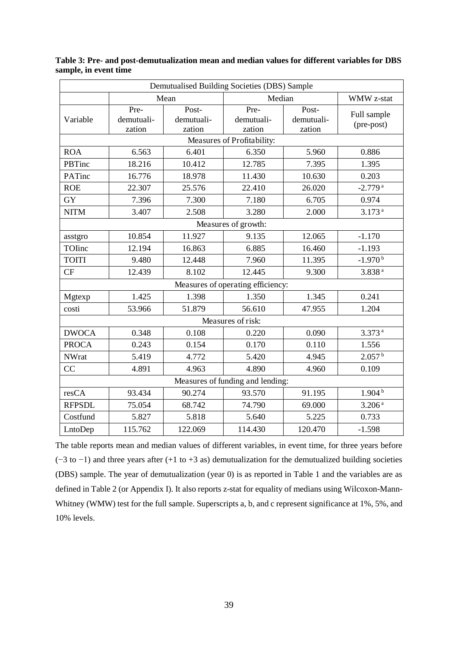|               | Demutualised Building Societies (DBS) Sample |                               |                                   |                               |                           |  |  |  |  |  |  |
|---------------|----------------------------------------------|-------------------------------|-----------------------------------|-------------------------------|---------------------------|--|--|--|--|--|--|
|               |                                              | Mean                          | Median                            | WMW z-stat                    |                           |  |  |  |  |  |  |
| Variable      | Pre-<br>demutuali-<br>zation                 | Post-<br>demutuali-<br>zation | Pre-<br>demutuali-<br>zation      | Post-<br>demutuali-<br>zation | Full sample<br>(pre-post) |  |  |  |  |  |  |
|               |                                              |                               |                                   |                               |                           |  |  |  |  |  |  |
| <b>ROA</b>    | 6.563                                        | 6.401                         | 6.350                             | 5.960                         | 0.886                     |  |  |  |  |  |  |
| PBTinc        | 18.216                                       | 10.412                        | 12.785                            | 7.395                         | 1.395                     |  |  |  |  |  |  |
| PATinc        | 16.776                                       | 18.978                        | 11.430                            | 10.630                        | 0.203                     |  |  |  |  |  |  |
| <b>ROE</b>    | 22.307                                       | 25.576                        | 22.410                            | 26.020                        | $-2.779$ <sup>a</sup>     |  |  |  |  |  |  |
| <b>GY</b>     | 7.396                                        | 7.300                         | 7.180                             | 6.705                         | 0.974                     |  |  |  |  |  |  |
| <b>NITM</b>   | 3.407                                        | 2.508                         | 3.280                             | 2.000                         | 3.173 <sup>a</sup>        |  |  |  |  |  |  |
|               |                                              |                               | Measures of growth:               |                               |                           |  |  |  |  |  |  |
| asstgro       | 10.854                                       | 11.927                        |                                   | 12.065                        | $-1.170$                  |  |  |  |  |  |  |
| TOIinc        | 12.194                                       | 16.863                        | 6.885                             | 16.460                        | $-1.193$                  |  |  |  |  |  |  |
| <b>TOITI</b>  | 9.480                                        | 12.448                        | 7.960                             | 11.395                        | $-1.970^{b}$              |  |  |  |  |  |  |
| CF            | 12.439                                       | 8.102                         | 12.445                            | 9.300                         | 3.838 <sup>a</sup>        |  |  |  |  |  |  |
|               |                                              |                               | Measures of operating efficiency: |                               |                           |  |  |  |  |  |  |
| Mgtexp        | 1.425                                        | 1.398                         | 1.350                             | 1.345                         | 0.241                     |  |  |  |  |  |  |
| costi         | 53.966                                       | 51.879                        | 56.610                            | 47.955                        | 1.204                     |  |  |  |  |  |  |
|               |                                              |                               | Measures of risk:                 |                               |                           |  |  |  |  |  |  |
| <b>DWOCA</b>  | 0.348                                        | 0.108                         | 0.220                             | 0.090                         | 3.373a                    |  |  |  |  |  |  |
| <b>PROCA</b>  | 0.243                                        | 0.154                         | 0.170                             | 0.110                         | 1.556                     |  |  |  |  |  |  |
| <b>NWrat</b>  | 5.419                                        | 4.772                         | 5.420                             | 4.945                         | 2.057 <sup>b</sup>        |  |  |  |  |  |  |
| CC            | 4.891                                        | 4.963                         | 4.890                             | 4.960                         | 0.109                     |  |  |  |  |  |  |
|               |                                              |                               | Measures of funding and lending:  |                               |                           |  |  |  |  |  |  |
| resCA         | 93.434                                       | 90.274                        | 93.570                            | 91.195                        | 1.904 <sup>b</sup>        |  |  |  |  |  |  |
| <b>RFPSDL</b> | 75.054                                       | 68.742                        | 74.790                            | 69.000                        | 3.206 <sup>a</sup>        |  |  |  |  |  |  |
| Costfund      | 5.827                                        | 5.818                         | 5.640                             | 5.225                         | 0.733                     |  |  |  |  |  |  |
| LntoDep       | 115.762                                      | 122.069                       | 114.430                           | 120.470                       | $-1.598$                  |  |  |  |  |  |  |

**Table 3: Pre- and post-demutualization mean and median values for different variables for DBS sample, in event time** 

The table reports mean and median values of different variables, in event time, for three years before (−3 to −1) and three years after (+1 to +3 as) demutualization for the demutualized building societies (DBS) sample. The year of demutualization (year 0) is as reported in Table 1 and the variables are as defined in Table 2 (or Appendix I). It also reports z-stat for equality of medians using Wilcoxon-Mann-Whitney (WMW) test for the full sample. Superscripts a, b, and c represent significance at 1%, 5%, and 10% levels.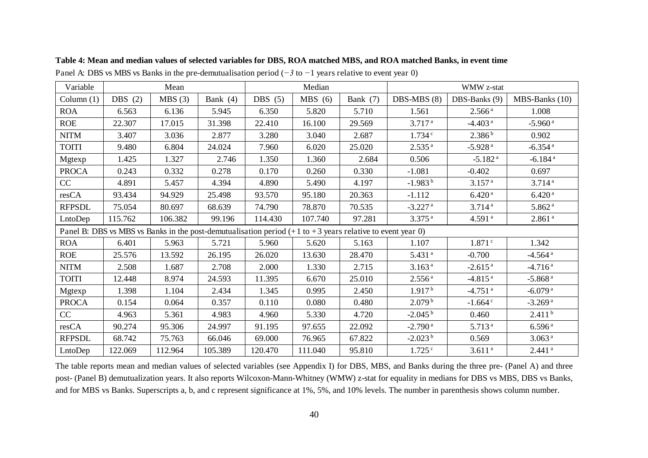| Variable      |           | Mean    |            |           | Median                                                                                                        |          | WMW z-stat            |                       |                       |
|---------------|-----------|---------|------------|-----------|---------------------------------------------------------------------------------------------------------------|----------|-----------------------|-----------------------|-----------------------|
| Column $(1)$  | DBS $(2)$ | MBS(3)  | Bank $(4)$ | DBS $(5)$ | MBS(6)                                                                                                        | Bank (7) | DBS-MBS (8)           | DBS-Banks (9)         | MBS-Banks (10)        |
| <b>ROA</b>    | 6.563     | 6.136   | 5.945      | 6.350     | 5.820                                                                                                         | 5.710    | 1.561                 | 2.566 <sup>a</sup>    | 1.008                 |
| <b>ROE</b>    | 22.307    | 17.015  | 31.398     | 22.410    | 16.100                                                                                                        | 29.569   | 3.717 <sup>a</sup>    | $-4.403$ <sup>a</sup> | $-5.960$ <sup>a</sup> |
| <b>NITM</b>   | 3.407     | 3.036   | 2.877      | 3.280     | 3.040                                                                                                         | 2.687    | 1.734c                | 2.386 <sup>b</sup>    | 0.902                 |
| <b>TOITI</b>  | 9.480     | 6.804   | 24.024     | 7.960     | 6.020                                                                                                         | 25.020   | 2.535 <sup>a</sup>    | $-5.928$ <sup>a</sup> | $-6.354$ <sup>a</sup> |
| Mgtexp        | 1.425     | 1.327   | 2.746      | 1.350     | 1.360                                                                                                         | 2.684    | 0.506                 | $-5.182$ <sup>a</sup> | $-6.184$ <sup>a</sup> |
| <b>PROCA</b>  | 0.243     | 0.332   | 0.278      | 0.170     | 0.260                                                                                                         | 0.330    | $-1.081$              | $-0.402$              | 0.697                 |
| CC            | 4.891     | 5.457   | 4.394      | 4.890     | 5.490                                                                                                         | 4.197    | $-1.983^{b}$          | 3.157 <sup>a</sup>    | 3.714a                |
| resCA         | 93.434    | 94.929  | 25.498     | 93.570    | 95.180                                                                                                        | 20.363   | $-1.112$              | 6.420 <sup>a</sup>    | 6.420 <sup>a</sup>    |
| <b>RFPSDL</b> | 75.054    | 80.697  | 68.639     | 74.790    | 78.870                                                                                                        | 70.535   | $-3.227$ <sup>a</sup> | 3.714 <sup>a</sup>    | 5.862 <sup>a</sup>    |
| LntoDep       | 115.762   | 106.382 | 99.196     | 114.430   | 107.740                                                                                                       | 97.281   | $3.375$ <sup>a</sup>  | 4.591 <sup>a</sup>    | 2.861 <sup>a</sup>    |
|               |           |         |            |           | Panel B: DBS vs MBS vs Banks in the post-demutualisation period $(+1$ to $+3$ years relative to event year 0) |          |                       |                       |                       |
| <b>ROA</b>    | 6.401     | 5.963   | 5.721      | 5.960     | 5.620                                                                                                         | 5.163    | 1.107                 | 1.871c                | 1.342                 |
| ROE           | 25.576    | 13.592  | 26.195     | 26.020    | 13.630                                                                                                        | 28.470   | 5.431 <sup>a</sup>    | $-0.700$              | $-4.564$ <sup>a</sup> |
| <b>NITM</b>   | 2.508     | 1.687   | 2.708      | 2.000     | 1.330                                                                                                         | 2.715    | 3.163 <sup>a</sup>    | $-2.615$ <sup>a</sup> | $-4.716$ <sup>a</sup> |
| <b>TOITI</b>  | 12.448    | 8.974   | 24.593     | 11.395    | 6.670                                                                                                         | 25.010   | 2.556 <sup>a</sup>    | $-4.815$ <sup>a</sup> | $-5.868$ <sup>a</sup> |
| Mgtexp        | 1.398     | 1.104   | 2.434      | 1.345     | 0.995                                                                                                         | 2.450    | 1.917 <sup>b</sup>    | $-4.751$ <sup>a</sup> | $-6.079a$             |
| <b>PROCA</b>  | 0.154     | 0.064   | 0.357      | 0.110     | 0.080                                                                                                         | 0.480    | 2.079 <sup>b</sup>    | $-1.664$ <sup>c</sup> | $-3.269$ <sup>a</sup> |
| CC            | 4.963     | 5.361   | 4.983      | 4.960     | 5.330                                                                                                         | 4.720    | $-2.045^{\mathrm{b}}$ | 0.460                 | 2.411 <sup>b</sup>    |
| resCA         | 90.274    | 95.306  | 24.997     | 91.195    | 97.655                                                                                                        | 22.092   | $-2.790$ <sup>a</sup> | 5.713 <sup>a</sup>    | 6.596 <sup>a</sup>    |
| <b>RFPSDL</b> | 68.742    | 75.763  | 66.046     | 69.000    | 76.965                                                                                                        | 67.822   | $-2.023b$             | 0.569                 | 3.063 <sup>a</sup>    |
| LntoDep       | 122.069   | 112.964 | 105.389    | 120.470   | 111.040                                                                                                       | 95.810   | $1.725$ <sup>c</sup>  | 3.611 <sup>a</sup>    | $2.441$ <sup>a</sup>  |

**Table 4: Mean and median values of selected variables for DBS, ROA matched MBS, and ROA matched Banks, in event time** 

Panel A: DBS vs MBS vs Banks in the pre-demutualisation period (*−3* to *−*1 years relative to event year 0)

The table reports mean and median values of selected variables (see Appendix I) for DBS, MBS, and Banks during the three pre- (Panel A) and three post- (Panel B) demutualization years. It also reports Wilcoxon-Mann-Whitney (WMW) z-stat for equality in medians for DBS vs MBS, DBS vs Banks, and for MBS vs Banks. Superscripts a, b, and c represent significance at 1%, 5%, and 10% levels. The number in parenthesis shows column number.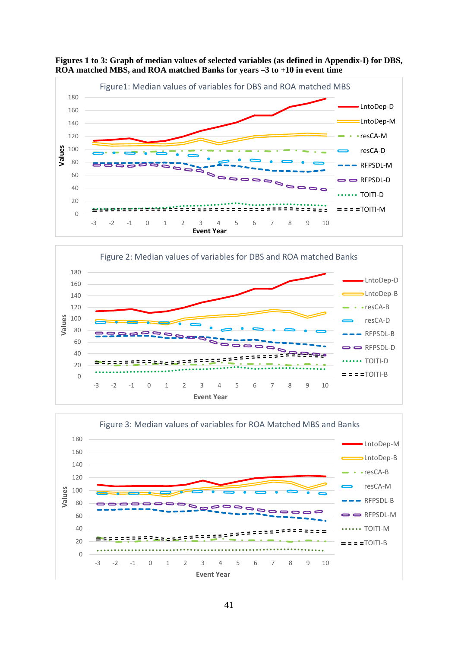

**Figures 1 to 3: Graph of median values of selected variables (as defined in Appendix-I) for DBS, ROA matched MBS, and ROA matched Banks for years –3 to +10 in event time**



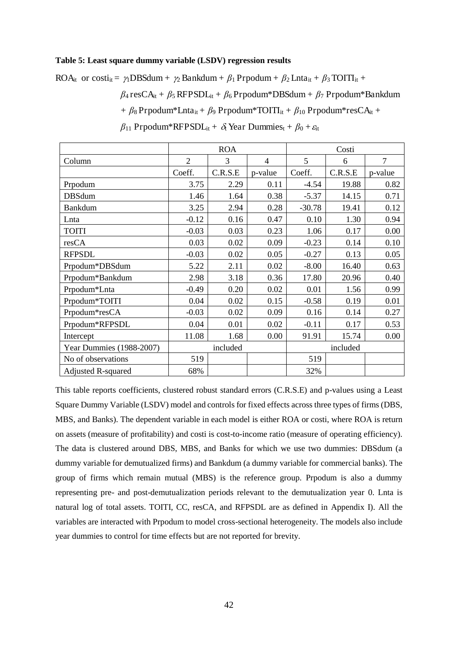#### **Table 5: Least square dummy variable (LSDV) regression results**

ROA<sub>it</sub> or costi<sub>it</sub> =  $\gamma_1$ DBSdum +  $\gamma_2$  Bankdum +  $\beta_1$  Prpodum +  $\beta_2$  Lnta<sub>it</sub> +  $\beta_3$  TOITI<sub>it</sub> +  $\beta_4$  resCA<sub>it</sub> +  $\beta_5$  RFPSDL<sub>it</sub> +  $\beta_6$  Prpodum\*DBSdum +  $\beta_7$  Prpodum\*Bankdum +  $\beta_8$  Prpodum\*Lnta<sub>it</sub> +  $\beta_9$  Prpodum\*TOITI<sub>it</sub> +  $\beta_{10}$  Prpodum\*resCA<sub>it</sub> +  $\beta_{11}$  Prpodum\*RFPSDL<sub>it</sub> +  $\delta_1$  Year Dummies<sub>t</sub> +  $\beta_0$  +  $\varepsilon_{\text{t}}$ 

|                           |                | <b>ROA</b> |          |          | Costi   |         |
|---------------------------|----------------|------------|----------|----------|---------|---------|
| Column                    | $\overline{2}$ | 3          | 4        | 5        | 6       | 7       |
|                           | Coeff.         | C.R.S.E    | p-value  | Coeff.   | C.R.S.E | p-value |
| Prpodum                   | 3.75           | 2.29       | 0.11     | $-4.54$  | 19.88   | 0.82    |
| <b>DBSdum</b>             | 1.46           | 1.64       | 0.38     | $-5.37$  | 14.15   | 0.71    |
| <b>Bankdum</b>            | 3.25           | 2.94       | 0.28     | $-30.78$ | 19.41   | 0.12    |
| Lnta                      | $-0.12$        | 0.16       | 0.47     | 0.10     | 1.30    | 0.94    |
| <b>TOITI</b>              | $-0.03$        | 0.03       | 0.23     | 1.06     | 0.17    | 0.00    |
| resCA                     | 0.03           | 0.02       | 0.09     | $-0.23$  | 0.14    | 0.10    |
| <b>RFPSDL</b>             | $-0.03$        | 0.02       | 0.05     | $-0.27$  | 0.13    | 0.05    |
| Prpodum*DBSdum            | 5.22           | 2.11       | 0.02     | $-8.00$  | 16.40   | 0.63    |
| Prpodum*Bankdum           | 2.98           | 3.18       | 0.36     | 17.80    | 20.96   | 0.40    |
| Prpodum*Lnta              | $-0.49$        | 0.20       | 0.02     | 0.01     | 1.56    | 0.99    |
| Prpodum*TOITI             | 0.04           | 0.02       | 0.15     | $-0.58$  | 0.19    | 0.01    |
| Prpodum*resCA             | $-0.03$        | 0.02       | 0.09     | 0.16     | 0.14    | 0.27    |
| Prpodum*RFPSDL            | 0.04           | 0.01       | 0.02     | $-0.11$  | 0.17    | 0.53    |
| Intercept                 | 11.08          | 1.68       | 0.00     | 91.91    | 15.74   | 0.00    |
| Year Dummies (1988-2007)  |                | included   | included |          |         |         |
| No of observations        | 519            |            |          | 519      |         |         |
| <b>Adjusted R-squared</b> | 68%            |            |          | 32%      |         |         |

This table reports coefficients, clustered robust standard errors (C.R.S.E) and p-values using a Least Square Dummy Variable (LSDV) model and controls for fixed effects across three types of firms (DBS, MBS, and Banks). The dependent variable in each model is either ROA or costi, where ROA is return on assets (measure of profitability) and costi is cost-to-income ratio (measure of operating efficiency). The data is clustered around DBS, MBS, and Banks for which we use two dummies: DBSdum (a dummy variable for demutualized firms) and Bankdum (a dummy variable for commercial banks). The group of firms which remain mutual (MBS) is the reference group. Prpodum is also a dummy representing pre- and post-demutualization periods relevant to the demutualization year 0. Lnta is natural log of total assets. TOITI, CC, resCA, and RFPSDL are as defined in Appendix I). All the variables are interacted with Prpodum to model cross-sectional heterogeneity. The models also include year dummies to control for time effects but are not reported for brevity.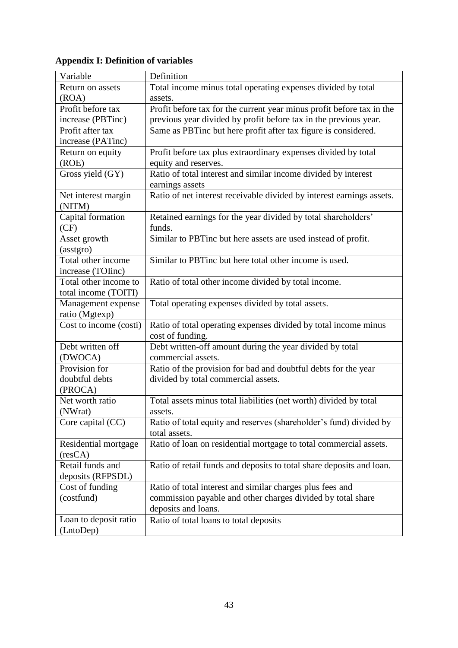### **Appendix I: Definition of variables**

| Variable               | Definition                                                            |
|------------------------|-----------------------------------------------------------------------|
| Return on assets       | Total income minus total operating expenses divided by total          |
| (ROA)                  | assets.                                                               |
| Profit before tax      | Profit before tax for the current year minus profit before tax in the |
| increase (PBTinc)      | previous year divided by profit before tax in the previous year.      |
| Profit after tax       | Same as PBTinc but here profit after tax figure is considered.        |
| increase (PATinc)      |                                                                       |
| Return on equity       | Profit before tax plus extraordinary expenses divided by total        |
| (ROE)                  | equity and reserves.                                                  |
| Gross yield (GY)       | Ratio of total interest and similar income divided by interest        |
|                        | earnings assets                                                       |
| Net interest margin    | Ratio of net interest receivable divided by interest earnings assets. |
| (NITM)                 |                                                                       |
| Capital formation      | Retained earnings for the year divided by total shareholders'         |
| (CF)                   | funds.                                                                |
| Asset growth           | Similar to PBTinc but here assets are used instead of profit.         |
| (asstgro)              |                                                                       |
| Total other income     | Similar to PBTinc but here total other income is used.                |
| increase (TOIinc)      |                                                                       |
| Total other income to  | Ratio of total other income divided by total income.                  |
| total income (TOITI)   |                                                                       |
| Management expense     | Total operating expenses divided by total assets.                     |
| ratio (Mgtexp)         |                                                                       |
| Cost to income (costi) | Ratio of total operating expenses divided by total income minus       |
|                        | cost of funding.                                                      |
| Debt written off       | Debt written-off amount during the year divided by total              |
| (DWOCA)                | commercial assets.                                                    |
| Provision for          | Ratio of the provision for bad and doubtful debts for the year        |
| doubtful debts         | divided by total commercial assets.                                   |
| (PROCA)                |                                                                       |
| Net worth ratio        | Total assets minus total liabilities (net worth) divided by total     |
| (NWrat)                | assets.                                                               |
| Core capital (CC)      | Ratio of total equity and reserves (shareholder's fund) divided by    |
|                        | total assets.                                                         |
| Residential mortgage   | Ratio of loan on residential mortgage to total commercial assets.     |
| (resCA)                |                                                                       |
| Retail funds and       | Ratio of retail funds and deposits to total share deposits and loan.  |
| deposits (RFPSDL)      |                                                                       |
| Cost of funding        | Ratio of total interest and similar charges plus fees and             |
| (costfund)             | commission payable and other charges divided by total share           |
|                        | deposits and loans.                                                   |
| Loan to deposit ratio  | Ratio of total loans to total deposits                                |
| (LntoDep)              |                                                                       |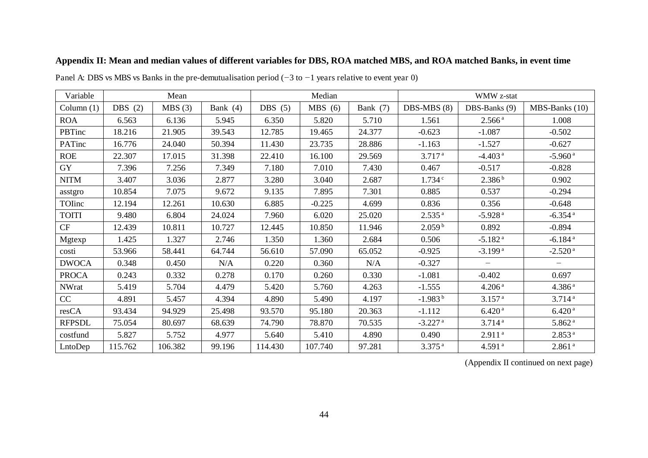| Variable      |           | Mean    |            |           | Median   |            |                       | WMW z-stat            |                       |
|---------------|-----------|---------|------------|-----------|----------|------------|-----------------------|-----------------------|-----------------------|
| Column $(1)$  | DBS $(2)$ | MBS(3)  | Bank $(4)$ | DBS $(5)$ | MBS(6)   | Bank $(7)$ | DBS-MBS (8)           | DBS-Banks (9)         | MBS-Banks (10)        |
| <b>ROA</b>    | 6.563     | 6.136   | 5.945      | 6.350     | 5.820    | 5.710      | 1.561                 | 2.566 <sup>a</sup>    | 1.008                 |
| PBTinc        | 18.216    | 21.905  | 39.543     | 12.785    | 19.465   | 24.377     | $-0.623$              | $-1.087$              | $-0.502$              |
| PATinc        | 16.776    | 24.040  | 50.394     | 11.430    | 23.735   | 28.886     | $-1.163$              | $-1.527$              | $-0.627$              |
| <b>ROE</b>    | 22.307    | 17.015  | 31.398     | 22.410    | 16.100   | 29.569     | 3.717 <sup>a</sup>    | $-4.403$ <sup>a</sup> | $-5.960$ <sup>a</sup> |
| GY            | 7.396     | 7.256   | 7.349      | 7.180     | 7.010    | 7.430      | 0.467                 | $-0.517$              | $-0.828$              |
| <b>NITM</b>   | 3.407     | 3.036   | 2.877      | 3.280     | 3.040    | 2.687      | 1.734c                | 2.386 <sup>b</sup>    | 0.902                 |
| asstgro       | 10.854    | 7.075   | 9.672      | 9.135     | 7.895    | 7.301      | 0.885                 | 0.537                 | $-0.294$              |
| TOInc         | 12.194    | 12.261  | 10.630     | 6.885     | $-0.225$ | 4.699      | 0.836                 | 0.356                 | $-0.648$              |
| TOITI         | 9.480     | 6.804   | 24.024     | 7.960     | 6.020    | 25.020     | 2.535 <sup>a</sup>    | $-5.928$ <sup>a</sup> | $-6.354$ <sup>a</sup> |
| CF            | 12.439    | 10.811  | 10.727     | 12.445    | 10.850   | 11.946     | 2.059 <sup>b</sup>    | 0.892                 | $-0.894$              |
| Mgtexp        | 1.425     | 1.327   | 2.746      | 1.350     | 1.360    | 2.684      | 0.506                 | $-5.182$ <sup>a</sup> | $-6.184$ <sup>a</sup> |
| costi         | 53.966    | 58.441  | 64.744     | 56.610    | 57.090   | 65.052     | $-0.925$              | $-3.199$ <sup>a</sup> | $-2.520$ <sup>a</sup> |
| <b>DWOCA</b>  | 0.348     | 0.450   | N/A        | 0.220     | 0.360    | N/A        | $-0.327$              |                       |                       |
| <b>PROCA</b>  | 0.243     | 0.332   | 0.278      | 0.170     | 0.260    | 0.330      | $-1.081$              | $-0.402$              | 0.697                 |
| <b>NWrat</b>  | 5.419     | 5.704   | 4.479      | 5.420     | 5.760    | 4.263      | $-1.555$              | 4.206 <sup>a</sup>    | 4.386 <sup>a</sup>    |
| CC            | 4.891     | 5.457   | 4.394      | 4.890     | 5.490    | 4.197      | $-1.983b$             | 3.157 <sup>a</sup>    | 3.714a                |
| resCA         | 93.434    | 94.929  | 25.498     | 93.570    | 95.180   | 20.363     | $-1.112$              | 6.420 <sup>a</sup>    | 6.420 <sup>a</sup>    |
| <b>RFPSDL</b> | 75.054    | 80.697  | 68.639     | 74.790    | 78.870   | 70.535     | $-3.227$ <sup>a</sup> | 3.714 <sup>a</sup>    | 5.862 <sup>a</sup>    |
| costfund      | 5.827     | 5.752   | 4.977      | 5.640     | 5.410    | 4.890      | 0.490                 | 2.911 <sup>a</sup>    | 2.853 <sup>a</sup>    |
| LntoDep       | 115.762   | 106.382 | 99.196     | 114.430   | 107.740  | 97.281     | $3.375$ <sup>a</sup>  | $4.591$ <sup>a</sup>  | $2.861$ <sup>a</sup>  |

#### **Appendix II: Mean and median values of different variables for DBS, ROA matched MBS, and ROA matched Banks, in event time**

Panel A: DBS vs MBS vs Banks in the pre-demutualisation period (*−*3 to *−*1 years relative to event year 0)

(Appendix II continued on next page)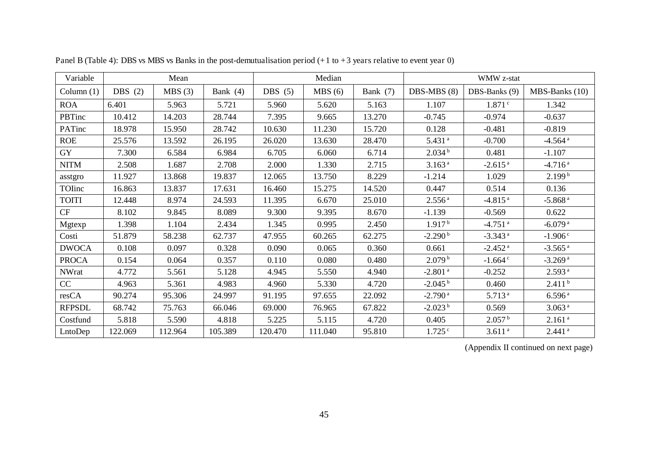| Variable      |           | Mean    |            |           | Median  |          | WMW z-stat            |                       |                       |  |
|---------------|-----------|---------|------------|-----------|---------|----------|-----------------------|-----------------------|-----------------------|--|
| Column(1)     | DBS $(2)$ | MBS(3)  | Bank $(4)$ | DBS $(5)$ | MBS(6)  | Bank (7) | $DBS-MBS(8)$          | DBS-Banks (9)         | MBS-Banks (10)        |  |
| <b>ROA</b>    | 6.401     | 5.963   | 5.721      | 5.960     | 5.620   | 5.163    | 1.107                 | 1.871c                | 1.342                 |  |
| PBTinc        | 10.412    | 14.203  | 28.744     | 7.395     | 9.665   | 13.270   | $-0.745$              | $-0.974$              | $-0.637$              |  |
| PATinc        | 18.978    | 15.950  | 28.742     | 10.630    | 11.230  | 15.720   | 0.128                 | $-0.481$              | $-0.819$              |  |
| <b>ROE</b>    | 25.576    | 13.592  | 26.195     | 26.020    | 13.630  | 28.470   | $5.431$ <sup>a</sup>  | $-0.700$              | $-4.564$ <sup>a</sup> |  |
| <b>GY</b>     | 7.300     | 6.584   | 6.984      | 6.705     | 6.060   | 6.714    | 2.034 <sup>b</sup>    | 0.481                 | $-1.107$              |  |
| <b>NITM</b>   | 2.508     | 1.687   | 2.708      | 2.000     | 1.330   | 2.715    | 3.163 <sup>a</sup>    | $-2.615$ <sup>a</sup> | $-4.716$ <sup>a</sup> |  |
| asstgro       | 11.927    | 13.868  | 19.837     | 12.065    | 13.750  | 8.229    | $-1.214$              | 1.029                 | 2.199 <sup>b</sup>    |  |
| TOInc         | 16.863    | 13.837  | 17.631     | 16.460    | 15.275  | 14.520   | 0.447                 | 0.514                 | 0.136                 |  |
| <b>TOITI</b>  | 12.448    | 8.974   | 24.593     | 11.395    | 6.670   | 25.010   | 2.556 <sup>a</sup>    | $-4.815$ <sup>a</sup> | $-5.868$ <sup>a</sup> |  |
| CF            | 8.102     | 9.845   | 8.089      | 9.300     | 9.395   | 8.670    | $-1.139$              | $-0.569$              | 0.622                 |  |
| Mgtexp        | 1.398     | 1.104   | 2.434      | 1.345     | 0.995   | 2.450    | 1.917 <sup>b</sup>    | $-4.751$ <sup>a</sup> | $-6.079$ <sup>a</sup> |  |
| Costi         | 51.879    | 58.238  | 62.737     | 47.955    | 60.265  | 62.275   | $-2.290b$             | $-3.343$ <sup>a</sup> | $-1.906c$             |  |
| <b>DWOCA</b>  | 0.108     | 0.097   | 0.328      | 0.090     | 0.065   | 0.360    | 0.661                 | $-2.452$ <sup>a</sup> | $-3.565$ <sup>a</sup> |  |
| <b>PROCA</b>  | 0.154     | 0.064   | 0.357      | 0.110     | 0.080   | 0.480    | 2.079 <sup>b</sup>    | $-1.664$ <sup>c</sup> | $-3.269$ <sup>a</sup> |  |
| <b>NWrat</b>  | 4.772     | 5.561   | 5.128      | 4.945     | 5.550   | 4.940    | $-2.801$ <sup>a</sup> | $-0.252$              | 2.593 <sup>a</sup>    |  |
| CC            | 4.963     | 5.361   | 4.983      | 4.960     | 5.330   | 4.720    | $-2.045^{\mathrm{b}}$ | 0.460                 | 2.411 <sup>b</sup>    |  |
| resCA         | 90.274    | 95.306  | 24.997     | 91.195    | 97.655  | 22.092   | $-2.790$ <sup>a</sup> | 5.713 <sup>a</sup>    | 6.596 <sup>a</sup>    |  |
| <b>RFPSDL</b> | 68.742    | 75.763  | 66.046     | 69.000    | 76.965  | 67.822   | $-2.023b$             | 0.569                 | 3.063 <sup>a</sup>    |  |
| Costfund      | 5.818     | 5.590   | 4.818      | 5.225     | 5.115   | 4.720    | 0.405                 | 2.057 <sup>b</sup>    | 2.161 <sup>a</sup>    |  |
| LntoDep       | 122.069   | 112.964 | 105.389    | 120.470   | 111.040 | 95.810   | $1.725$ <sup>c</sup>  | 3.611 <sup>a</sup>    | $2.441$ <sup>a</sup>  |  |

Panel B (Table 4): DBS vs MBS vs Banks in the post-demutualisation period  $(+1 \text{ to } +3 \text{ years}$  relative to event year 0)

(Appendix II continued on next page)